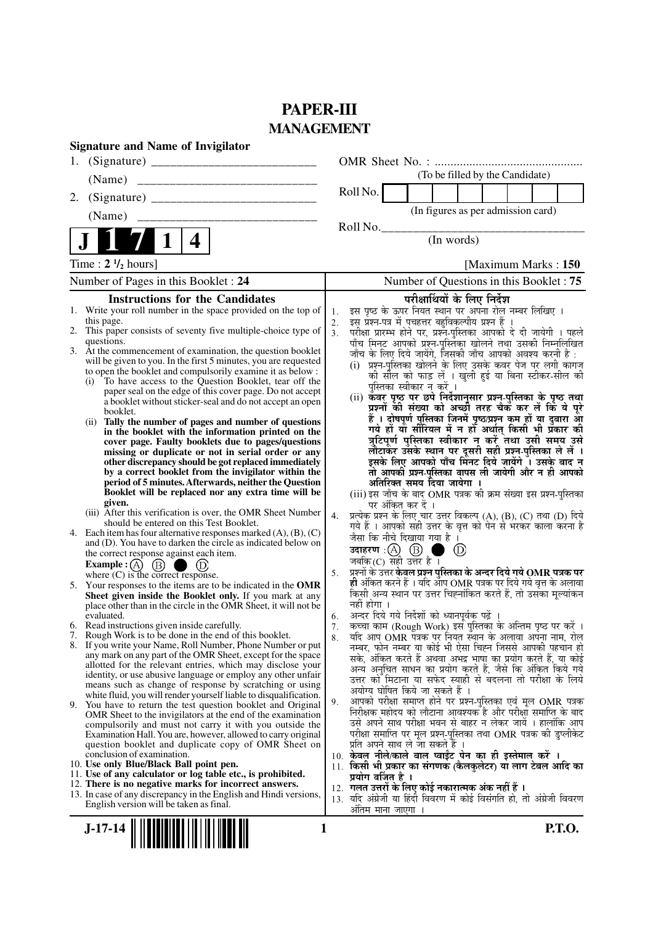# **PAPER-III MANAGEMENT**

| <b>Signature and Name of Invigilator</b>                                                                                          |                                                                                                                                                               |
|-----------------------------------------------------------------------------------------------------------------------------------|---------------------------------------------------------------------------------------------------------------------------------------------------------------|
| 1.                                                                                                                                |                                                                                                                                                               |
|                                                                                                                                   | (To be filled by the Candidate)                                                                                                                               |
| 2.                                                                                                                                | Roll No.                                                                                                                                                      |
| (Name)                                                                                                                            | (In figures as per admission card)                                                                                                                            |
|                                                                                                                                   | Roll No.                                                                                                                                                      |
| $\mathbf 1$<br>4                                                                                                                  | (In words)                                                                                                                                                    |
| Time: $2 \frac{1}{2}$ hours]                                                                                                      | [Maximum Marks: 150]                                                                                                                                          |
| Number of Pages in this Booklet: 24                                                                                               | Number of Questions in this Booklet : 75                                                                                                                      |
| <b>Instructions for the Candidates</b>                                                                                            | परीक्षार्थियों के लिए निर्देश                                                                                                                                 |
| 1. Write your roll number in the space provided on the top of<br>this page.                                                       | इस पृष्ठ के ऊपर नियत स्थान पर अपना रोल नम्बर लिखिए ।<br>1.<br>इस प्रश्न-पत्र में पचहत्तर बहुविकल्पीय प्रश्न हैं                                               |
| 2. This paper consists of seventy five multiple-choice type of                                                                    | 2.<br>.<br>परीक्षा प्रारम्भ होने पर, प्रश्नॅं-पुस्तिका आपको दे दी जायेगी । पहले<br>पाँच मिनट आपको प्रश्न-पुस्तिका खोलने तथा उसकी निम्नलिखित<br>3 <sub>1</sub> |
| questions.<br>3. At the commencement of examination, the question booklet                                                         |                                                                                                                                                               |
| will be given to you. In the first 5 minutes, you are requested                                                                   | जाँच के लिए दिये जायेंगे, जिसकी जाँच आपको अवश्य करनी है :<br>(i) प्रश्न-पुस्तिका खोलने के लिए उसके कवर पेज पर लगी कागज                                        |
| to open the booklet and compulsorily examine it as below :<br>To have access to the Question Booklet, tear off the<br>(i)         | की सील को फाड़ लें । खुली हुई या बिना स्टीकर-सील की                                                                                                           |
| paper seal on the edge of this cover page. Do not accept                                                                          | पुस्तिका स्वीकार न करें ।<br>(ii) कवर पृष्ठ पर छपे निर्देशानुसार प्रश्न-पुस्तिका के पृष्ठ तथा                                                                 |
| a booklet without sticker-seal and do not accept an open<br>booklet.                                                              | प्रश्नों की संख्या को अच्छी तरह चैक कर लें कि ये पूरे                                                                                                         |
| Tally the number of pages and number of questions<br>(ii)                                                                         | हैं । दोषपूर्ण पुस्तिका जिनमें पृष्ठ/प्रश्न कम हों या दुबारा आ<br>गये हों या सीरियल में न हों अर्थात् किसी भी प्रँकार की                                      |
| in the booklet with the information printed on the<br>cover page. Faulty booklets due to pages/questions                          | त्रुटिपूर्ण पुस्तिका स्वीकार न करें तथा उसी समय उसे                                                                                                           |
| missing or duplicate or not in serial order or any                                                                                | लौटाकर उसके स्थान पर दूसरी सही प्रश्न-पुस्तिका ले लें ।<br>इसके लिए आपको पाँच मिनट दिये जायेंगे ँ। उसके बाद न                                                 |
| other discrepancy should be got replaced immediately<br>by a correct booklet from the invigilator within the                      | तो आपकी प्रश्न-पुस्तिका वापस ली जायेगी और न ही आपको                                                                                                           |
| period of 5 minutes. Afterwards, neither the Question<br>Booklet will be replaced nor any extra time will be                      | अतिरिक्त समय दिया जायेगा ।                                                                                                                                    |
| given.                                                                                                                            | (iii) इस जाँच के बाद OMR पत्रक की क्रम संख्या इस प्रश्न-पुस्तिका<br>पर अंकित कर दें ।                                                                         |
| (iii) After this verification is over, the OMR Sheet Number<br>should be entered on this Test Booklet.                            | प्रत्येक प्रश्न के लिए चार उत्तर विकल्प (A), (B), (C) तथा (D) दिये<br>4.                                                                                      |
| 4. Each item has four alternative responses marked $(A)$ , $(B)$ , $(C)$                                                          | गये हैं । आपको सही उत्तर के वृत्त को पेन से भरकर काला करना है<br>जैसा कि नीचे दिखाया गया है ।                                                                 |
| and (D). You have to darken the circle as indicated below on<br>the correct response against each item.                           | उदाहरण: $\textcircled{A}$ $\textcircled{B}$ ।<br>$\left(\text{D}\right)$                                                                                      |
| Example : $(A)$<br>(B)                                                                                                            | जबकि(C) सही उत्तर है ।                                                                                                                                        |
| where $(C)$ is the correct response.<br>5. Your responses to the items are to be indicated in the OMR                             | प्रश्नों के उत्तर केवल प्रश्न पुस्तिका के अन्दर दिये गये OMR पत्रक पर<br>5.<br>ही अंकित करने हैं । यदि आप OMR पत्रक पर दिये गये वृत्त के अलावा                |
| Sheet given inside the Booklet only. If you mark at any                                                                           | किसी अन्य स्थान पर उत्तर चिह्नांकित करते हैं, तो उसका मूल्यांकन                                                                                               |
| place other than in the circle in the OMR Sheet, it will not be<br>evaluated.                                                     | नहीं होगा ।<br>अन्दर दिये गये निर्देशों को ध्यानपूर्वक पढ़ें ।                                                                                                |
| 6. Read instructions given inside carefully.                                                                                      | 6.<br>कच्चा काम (Rough Work) इस पुस्तिका के अन्तिम पृष्ठ पर करें ।<br>7.                                                                                      |
| 7. Rough Work is to be done in the end of this booklet.<br>8. If you write your Name, Roll Number, Phone Number or put            | र्याद आप OMR पत्रक पर नियत स्थान के अलावा अपना नाम, रोल<br>8.                                                                                                 |
| any mark on any part of the OMR Sheet, except for the space                                                                       | नम्बर, फोन नम्बर या कोई भी ऐसा चिह्न जिससे आपकी पहचान हो<br>सके, अंकित करते हैं अथवा अभद्र भाषा का प्रयोग करते हैं, या कोई                                    |
| allotted for the relevant entries, which may disclose your<br>identity, or use abusive language or employ any other unfair        | अन्य अनुचित साधन का प्रयोग करते हैं, जैसे कि अंकित किये गये                                                                                                   |
| means such as change of response by scratching or using                                                                           | उत्तर को मिटाना या सफेद स्याही से बदलना तो परीक्षा के लिये<br>अयोग्य घोषित किये जा सकते हैं ।                                                                 |
| white fluid, you will render yourself liable to disqualification.<br>9. You have to return the test question booklet and Original | आपको परीक्षा समाप्त होने पर प्रश्न-पुस्तिका एवं मूल OMR पत्रक<br>9.                                                                                           |
| OMR Sheet to the invigilators at the end of the examination                                                                       | निरीक्षक महोदय को लौटाना आवश्यक है और परीक्षा समाप्ति के बाद<br>उसे अपने साथ परीक्षा भवन से बाहर न लेकर जायें । हालांकि आप                                    |
| compulsorily and must not carry it with you outside the<br>Examination Hall. You are, however, allowed to carry original          | परीक्षा समाप्ति पर मूल प्रश्न-पुस्तिका तथा OMR पत्रक की डुप्लीकेट                                                                                             |
| question booklet and duplicate copy of OMR Sheet on                                                                               | प्रति अपने साथ ले जा सकते हैं ।                                                                                                                               |
| conclusion of examination.<br>10. Use only Blue/Black Ball point pen.                                                             | 10. केवल नीले/काले बाल प्वाईंट पेन का ही इस्तेमाल करें ।<br>11. किसी भी प्रकार का संगणक (कैलकुलेटर) या लाग टेबल आदि का                                        |
| 11. Use of any calculator or log table etc., is prohibited.                                                                       | प्रयोग वर्जित है ।                                                                                                                                            |
| 12. There is no negative marks for incorrect answers.<br>13. In case of any discrepancy in the English and Hindi versions,        | 12. गलत उत्तरों के लिए कोई नकारात्मक अंक नहीं हैं ।<br>13. यदि अंग्रेजी या हिंदी विवरण में कोई विसंगति हो, तो अंग्रेजी विवरण                                  |
| English version will be taken as final.                                                                                           | अंतिम माना जाएगा ।                                                                                                                                            |
| $J-17-14$<br>1                                                                                                                    | <b>P.T.O.</b>                                                                                                                                                 |
|                                                                                                                                   |                                                                                                                                                               |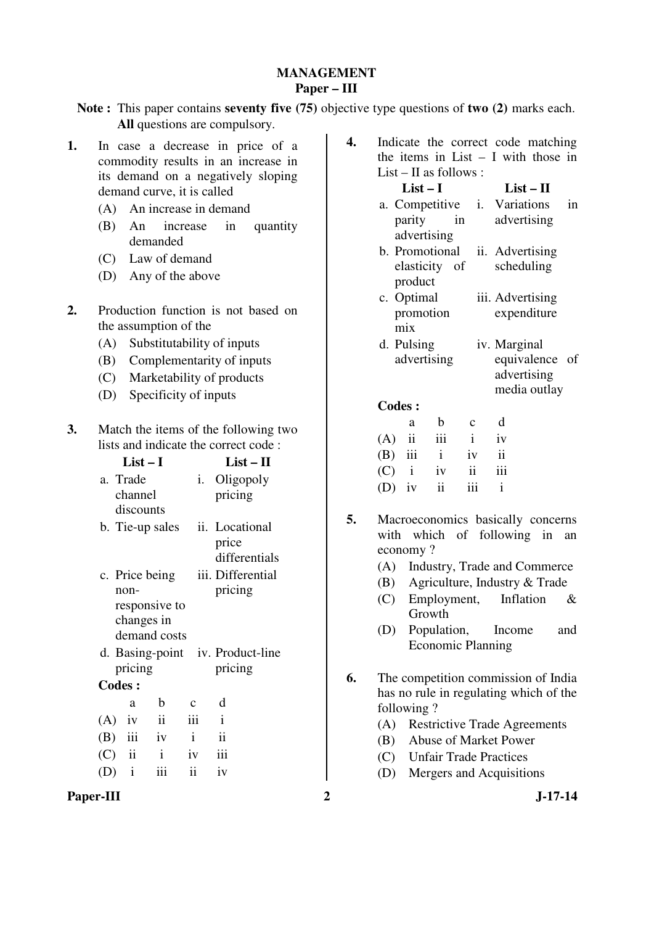# **MANAGEMENT Paper – III**

**Note :** This paper contains **seventy five (75)** objective type questions of **two (2)** marks each. **All** questions are compulsory.

- **1.** In case a decrease in price of a commodity results in an increase in its demand on a negatively sloping demand curve, it is called
	- (A) An increase in demand
	- (B) An increase in quantity demanded
	- (C) Law of demand
	- (D) Any of the above
- **2.** Production function is not based on the assumption of the
	- (A) Substitutability of inputs
	- (B) Complementarity of inputs
	- (C) Marketability of products
	- (D) Specificity of inputs
- **3.** Match the items of the following two lists and indicate the correct code :

|               | List – I         |                     | $List-II$                        |
|---------------|------------------|---------------------|----------------------------------|
| a. Trade      |                  |                     | <i>i.</i> Oligopoly              |
|               | channel          |                     | pricing                          |
|               | discounts        |                     |                                  |
|               | b. Tie-up sales  |                     | ii. Locational                   |
|               |                  |                     | price                            |
|               |                  |                     | differentials                    |
|               | c. Price being   |                     | iii. Differential                |
| non-          |                  |                     | pricing                          |
|               | responsive to    |                     |                                  |
|               | changes in       |                     |                                  |
|               | demand costs     |                     |                                  |
|               |                  |                     | d. Basing-point iv. Product-line |
|               | pricing          |                     | pricing                          |
| <b>Codes:</b> |                  |                     |                                  |
|               | $\mathbf b$<br>a | $\mathbf c$         | d                                |
| $(A)$ iv      | ii               | iii                 | $\mathbf{i}$                     |
| $(B)$ iii     | iv               | $\mathbf{i}$        | $\mathbf{ii}$                    |
| $(C)$ ii      | $\mathbf{i}$     | iv                  | iii                              |
| $(D)$ i       | iii              | $\ddot{\mathbf{i}}$ | iv                               |
|               |                  |                     |                                  |

**4.** Indicate the correct code matching the items in List  $-$  I with those in List – II as follows :

### **List – I List – II**

- a. Competitive parity in advertising i. Variations in advertising
- b. Promotional elasticity of product ii. Advertising scheduling
- c. Optimal promotion mix iii. Advertising expenditure
- d. Pulsing advertising iv. Marginal equivalence of advertising

#### media outlay

#### **Codes :**

| a |                   | $b \quad c$ | d   |
|---|-------------------|-------------|-----|
|   | $(A)$ ii iii i    |             | iv  |
|   | $(B)$ iii i iv ii |             |     |
|   | $(C)$ i iv ii     |             | iii |
|   | $(D)$ iv ii       | iii         |     |

- **5.** Macroeconomics basically concerns with which of following in an economy ?
	- (A) Industry, Trade and Commerce
	- (B) Agriculture, Industry & Trade
	- (C) Employment, Inflation & Growth
	- (D) Population, Income and Economic Planning
- **6.** The competition commission of India has no rule in regulating which of the following ?
	- (A) Restrictive Trade Agreements
	- (B) Abuse of Market Power
	- (C) Unfair Trade Practices
	- (D) Mergers and Acquisitions
- Paper-III 2 J-17-14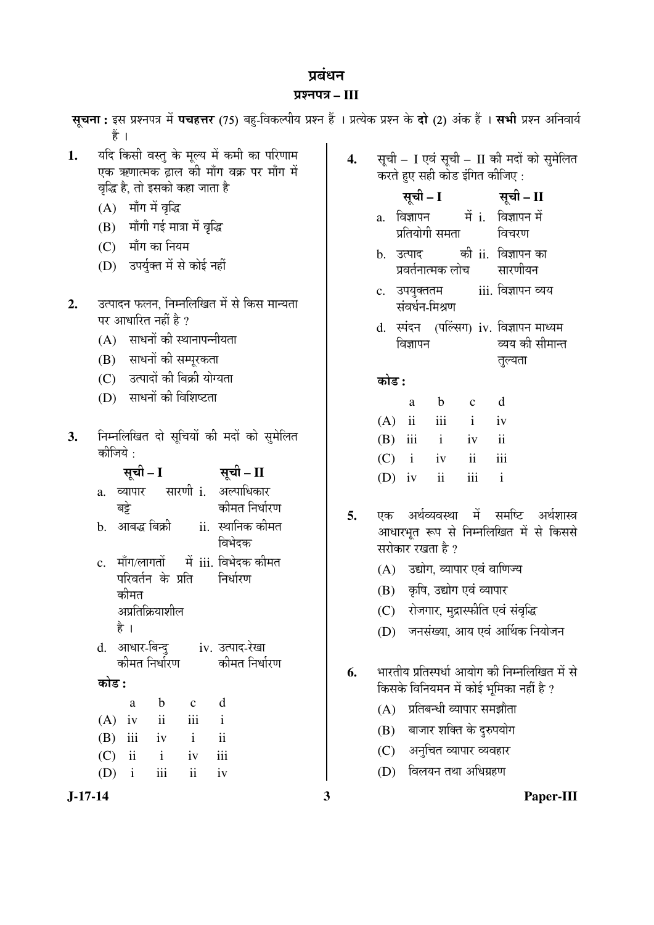# प्रबंधन

#### ¯ÖÏ¿®Ö¯Ö¡Ö **– III**

स्**चना:** इस प्रश्नपत्र में **पचहत्तर** (75) बह-विकल्पीय प्रश्न हैं । प्रत्येक प्रश्न के **दो** (2) अंक हैं । सभी प्रश्न अनिवार्य हैं ।

- 1. यदि किसी वस्तु के मूल्य में कमी का परिणाम एक ऋणात्मक ढाल की माँग वक्र पर माँग में वद्धि है. तो इसको कहा जाता है
	- $(A)$  माँग में वृद्धि
	- $(B)$  माँगी गई मात्रा में वृद्धि
	- $(C)$  माँग का नियम
	- (D) उपर्यक्त में से कोई नहीं
- 2. उत्पादन फलन, निम्नलिखित में से किस मान्यता पर आधारित नहीं है ?
	- $(A)$  साधनों की स्थानापन्नीयता
	- (B) साधनों की सम्परकता
	- (C) उत्पादों की बिक्री योग्यता
	- (D) साधनों की विशिष्टता
- 3. निम्नलिखित दो सुचियों की मदों को सुमेलित कीजिये :

#### ÃÖæ"Öß **– I** ÃÖæ"Öß **– II**

| a. | व्यापार |  | सारणी i. अल्पाधिकार |
|----|---------|--|---------------------|
|    | बट्रे   |  | कीमत निर्धारण       |
|    |         |  |                     |

- b. आबद्ध बिक्री ii. स्थानिक कीमत विभेदक
- $c$  माँग/लागतों परिवर्तन के प्रति कीमत अप्रतिक्रियाशील में $i$ iii. विभेदक कीमत  $\hat{z}$ निर्धा $\hat{z}$ ण
	- है ।
- d. आधार-बिन्द कोमत $f$ निर्धारण iv. उत्पाद-रेखा कोमत निर्धारण
- 󜅐ݟ **:**

|  | a b c d           |  |
|--|-------------------|--|
|  | $(A)$ iv ii iii i |  |
|  | $(B)$ iii iv i ii |  |
|  | $(C)$ ii i iv iii |  |
|  | $(D)$ i iii ii iv |  |

- 4. सूची I एवं सूची II की मदों को सुमेलित करते हुए सही कोड इंगित कीजिए :
	- सूची I <del>सू</del>ची II
	- $a$ . विज्ञापन प्रतियोगी समता में i. विज्ञापन में विचरण
	- b. उत्पाद प्रवर्तनात्मक लोच को ii. विज्ञापन का सारणीयन
	- c. उपयुक्ततम संवर्धन-मिश्रण iii. विज्ञापन व्यय
	- d. स्पंदन (पल्ल्सिग) iv. विज्ञापन माध्यम विज्ञापन व्यय की सीमान्त तल्यता

# 󜅐ݟ **:**

|  | a b c d           |  |
|--|-------------------|--|
|  | $(A)$ ii iii i iv |  |
|  | $(B)$ iii i iv ii |  |
|  | $(C)$ i iv ii iii |  |
|  | $(D)$ iv ii iii i |  |

- **5.** एक अर्थव्यवस्था में समष्टि अर्थशास्त्र आधारभृत रूप से निम्नलिखित में से किससे सरोकार रखता है ?
	- (A) उद्योग, व्यापार एवं वाणिज्य
	- (B) कृषि, उद्योग एवं व्यापार
	- (C) रोजगार, मुद्रास्फीति एवं संवृद्धि
	- (D) जनसंख्या, आय एवं आर्थिक नियोजन
- 6. भारतीय प्रतिस्पर्धा आयोग की निम्नलिखित में से किसके विनियमन में कोई भूमिका नहीं है ?
	- (A) प्रतिबन्धी व्यापार समझौता
	- (B) बाजार शक्ति के दुरुपयोग
	- (C) अनुचित व्यापार व्यवहार
	- (D) विलयन तथा अधिग्रहण

# **J-17-14 3 Paper-III**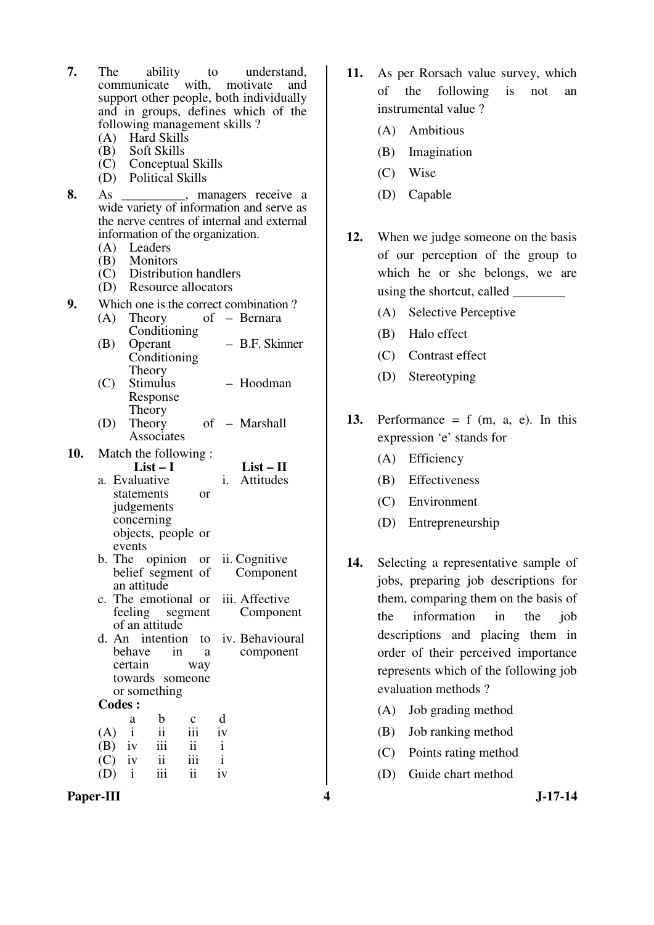| 7.  | ability to understand,<br>The                                                                |
|-----|----------------------------------------------------------------------------------------------|
|     | communicate with, motivate and                                                               |
|     | support other people, both individually                                                      |
|     | and in groups, defines which of the                                                          |
|     | following management skills?                                                                 |
|     | (A) Hard Skills                                                                              |
|     |                                                                                              |
|     | (A) That Skills<br>(B) Soft Skills<br>(C) Conceptual Skills<br>(D) Political Skills          |
| 8.  | As                                                                                           |
|     | As _________, managers receive a<br>wide variety of information and serve as                 |
|     | the nerve centres of internal and external                                                   |
|     | information of the organization.                                                             |
|     | (A) Leaders                                                                                  |
|     | (B) Monitors                                                                                 |
|     | $\widetilde{C}$ Distribution handlers                                                        |
|     | $(D)$ Resource allocators                                                                    |
| 9.  | Which one is the correct combination?                                                        |
|     | (A)<br>of - Bernara<br>Theory                                                                |
|     | Conditioning<br>- B.F. Skinner<br>(B)<br>Operant                                             |
|     | Conditioning                                                                                 |
|     | Theory                                                                                       |
|     | (C) Stimulus<br>- Hoodman                                                                    |
|     | Response                                                                                     |
|     | Theory                                                                                       |
|     | Theory<br>of - Marshall<br>(D)<br>Associates                                                 |
|     |                                                                                              |
| 10. | Match the following:<br>$List-I$<br>$List - II$                                              |
|     | $i$ .<br>Attitudes<br>a. Evaluative                                                          |
|     | statements<br>or                                                                             |
|     | judgements                                                                                   |
|     | concerning                                                                                   |
|     | objects, people or                                                                           |
|     | events                                                                                       |
|     | b. The opinion or ii. Cognitive<br>belief segment of<br>Component                            |
|     | an attitude                                                                                  |
|     | iii. Affective<br>c. The emotional or                                                        |
|     | feeling segment<br>Component                                                                 |
|     | of an attitude                                                                               |
|     | d. An intention to iv. Behavioural<br>behave<br>in<br>component<br>a                         |
|     |                                                                                              |
|     |                                                                                              |
|     | certain<br>way<br>towards someone                                                            |
|     | or something                                                                                 |
|     | <b>Codes:</b>                                                                                |
|     | d<br>b<br>c<br>a                                                                             |
|     | $\mathbf{ii}$<br>$\mathbf{i}$<br>iii<br>(A)<br>iv                                            |
|     | iii<br>ii<br>$\mathbf{i}$<br>(B)<br>iv                                                       |
|     | iii<br>$\mathbf{i}$<br>$\ddot{\rm n}$<br>(C)<br>iv<br>$\mathbf{i}$<br>iii<br>ii<br>(D)<br>iv |

- **11.** As per Rorsach value survey, which of the following is not an instrumental value ?
	- (A) Ambitious
	- (B) Imagination
	- (C) Wise
	- (D) Capable
- **12.** When we judge someone on the basis of our perception of the group to which he or she belongs, we are using the shortcut, called \_\_\_\_\_\_\_\_
	- (A) Selective Perceptive
	- (B) Halo effect
	- (C) Contrast effect
	- (D) Stereotyping
- 13. Performance  $= f$  (m, a, e). In this expression 'e' stands for
	- (A) Efficiency
	- (B) Effectiveness
	- (C) Environment
	- (D) Entrepreneurship
- **14.** Selecting a representative sample of jobs, preparing job descriptions for them, comparing them on the basis of the information in the job descriptions and placing them in order of their perceived importance represents which of the following job evaluation methods ?
	- (A) Job grading method
	- (B) Job ranking method
	- (C) Points rating method
	- (D) Guide chart method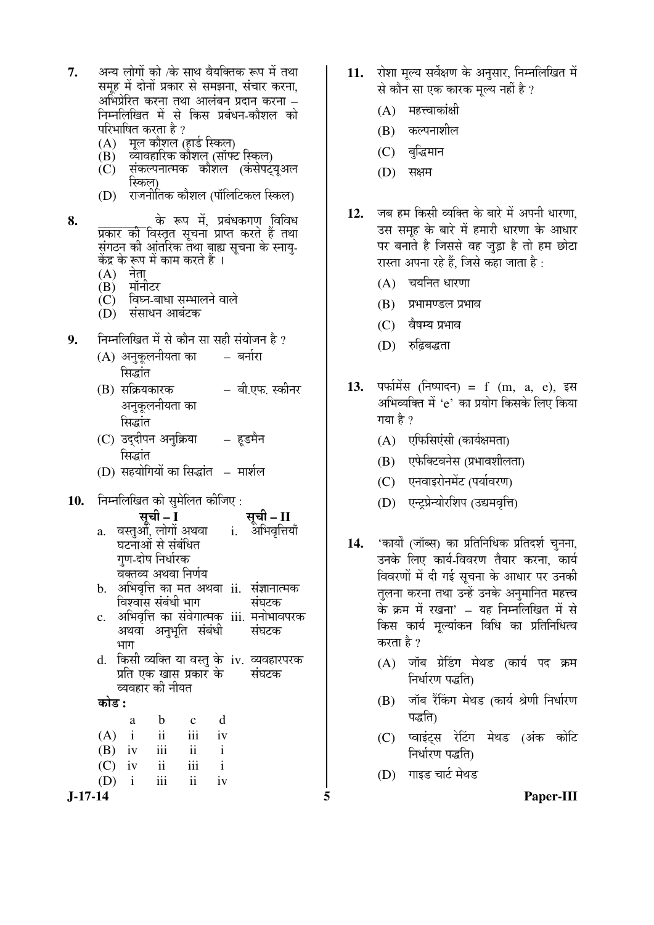- 7. अन्य लोगों को /के साथ वैयक्तिक रूप में तथा समह में दोनों प्रकार से समझना, संचार करना, अभिप्रेरित करना तथा आलंबन प्रदान करना – निम्नलिखित में से किस प्रबंधन-कौशल को परिभाषित करता है ?
	- (A) मूल कौशल (हार्ड स्किल)<br>(B) व्यावहारिक कौशल (सॉफ्स
	- <u>व्यावहारिक कौशल (सॉफ्ट स्किल)</u>
	- $\overline{C}$ ) संकल्पनात्मक कौशल (कंसेपटयअल स्किल)
	- (D) राजनीतिक कौशल (पॉलिटिकल स्किल)

8. के रूप में, प्रबंधकगण विविध <u>प्रकार की विस्तृत सूचना प्राप्त करते हैं तथा</u> संगठन की आंतरिक तथा बाह्य सूचना के स्नाय्-केंद्र के रूप में काम करते हैं ।

- (A) नेता<br>(B) मॉर्न
- मॉनीटर
- $\overline{\textbf{C}}$ ) विघ्न-बाधा सम्भालने वाले
- $(D)$  संसाधन आबंटक
- 9. Füre Füre Förber Heiten in der die Füre auf der aufgeben aufgeben der Berger & Stephand & Stephand & Stephand & S
	- (A) अनुकूलनीयता का सिद्धांत – बर्नारा
	- $(B)$  सक्रियकारक अनुकूलनीयता का सिद्धांत – बी.एफ. स्कीनर
	- (C) उददीपन अनुक्रिया सिद्धांत – हडमैन
	- (D) सहयोगियों का सिद्धांत मार्शल
- 10. निम्नलिखित को सुमेलित कीजिए :
	- ÃÖæ"Öß **I** ÃÖæ"Öß **II**  a. वस्तुओं, लोगों अथवा घटनाओं से संबंधित गण-दोष निर्धारक वक्तव्य अथवा निर्णय i. <sup>अभिवृत्तियाँ</sup>
	- b. अभिवृत्ति का मत अथवा ii. संज्ञानात्मक विश्वास संबंधी भाग संघटक
	- c. अभिवृत्ति का संवेगात्मक् iii. मनोभावपरक अथवा अनुभूति संबंधी  $2TT$ संघटक
	- d. किसी व्यक्ति या वस्तु के iv. व्यवहारपरक प्रति एक खास प्रकार के व्यवहार की नीयत संघटक

#### 󜅐ݟ **:**

| a | b.              | $\mathbf{c}$        | d            |
|---|-----------------|---------------------|--------------|
|   | $(A)$ i ii      | iii                 | iv           |
|   | $(B)$ iv iii ii |                     | $\mathbf{i}$ |
|   | $(C)$ iv ii     | iii                 |              |
|   | $(D)$ i iii     | $\ddot{\mathbf{u}}$ | iv           |

- 11. रोशा मल्य सर्वेक्षण के अनसार, निम्नलिखित में से कौन सा एक कारक मल्य नहीं है ?
	- $(A)$  महत्त्वाकांक्षी
	- $(B)$  कल्पनाशील
	- (C) बुद्धिमान
	- (D) सक्षम
- 12. जब हम किसी व्यक्ति के बारे में अपनी धारणा उस समूह के बारे में हमारी धारणा के आधार पर बनाते है जिससे वह जुड़ा है तो हम छोटा रास्ता अपना रहे हैं. जिसे कहा जाता है :
	- $(A)$  चयनित धारणा
	- (B) प्रभामण्डल प्रभाव
	- $(C)$  वैषम्य प्रभाव
	- $(D)$  रुढिबद्धता
- 13. पर्फामेंस (निष्पादन) = f (m, a, e), इस अभिव्यक्ति में 'e' का प्रयोग किसके लिए किया गया है  $\gamma$ 
	- $(A)$  एफिसिएंसी (कार्यक्षमता)
	- (B) एफेक्टिवनेस (प्रभावशीलता)
	- (C) एनवाइरोनमेंट (पर्यावरण)
	- (D) एन्ट्रप्रेन्योरशिप (उद्यमवृत्ति)
- 14. 'कार्यों (जॉब्स) का प्रतिनिधिक प्रतिदर्श चुनना, उनके लिए कार्य-विवरण तैयार करना. कार्य विवरणों में दी गई सचना के आधार पर उनकी तृलना करना तथा उन्हें उनके अनुमानित महत्त्व के क्रम में रखना' – यह निम्नलिखित में से किस कार्य मुल्यांकन विधि का प्रतिनिधित्व करता है ?
	- $(A)$  जॉब ग्रेडिंग मेथड (कार्य पद क्रम निर्धारण पद्धति)
	- (B) जॉब रैंकिंग मेथड (कार्य श्रेणी निर्धारण पद्धति)
	- (C) प्वाइंट्स रेटिंग मेथड (अंक कोटि निर्धारण पद्धति)
	- (D) गाइड चार्ट मेथड

**J-17-14 5 Paper-III**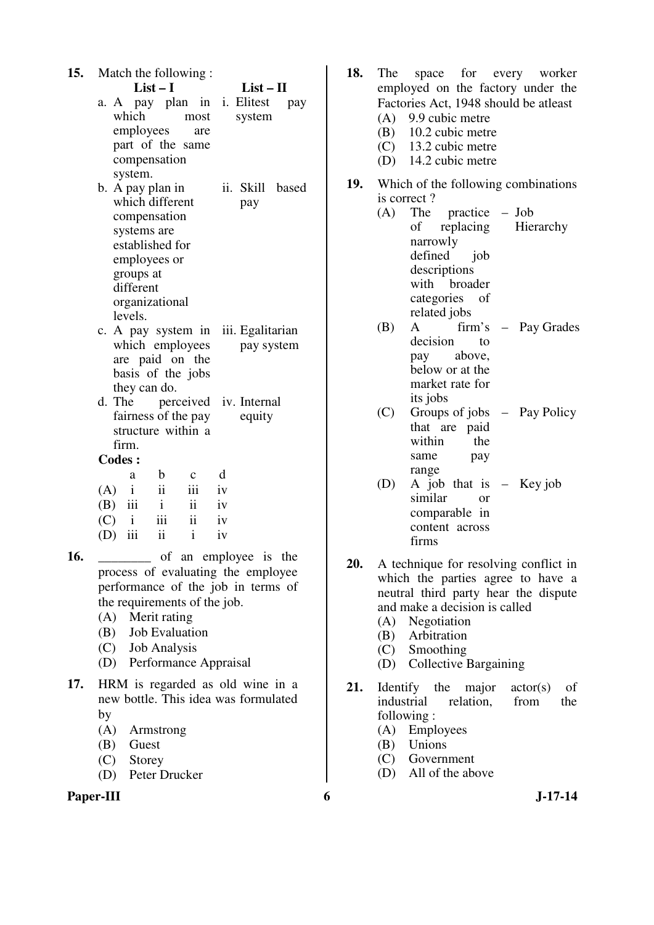| 15. |               |              | Match the following:<br>$List-I$ |                     |    | $List - II$                        |                 |
|-----|---------------|--------------|----------------------------------|---------------------|----|------------------------------------|-----------------|
|     |               |              |                                  |                     |    |                                    |                 |
|     |               |              | a. A pay plan in                 |                     | i. | Elitest                            | pay             |
|     |               | which        |                                  | most                |    | system                             |                 |
|     |               | employees    |                                  | are                 |    |                                    |                 |
|     |               |              | part of the same                 |                     |    |                                    |                 |
|     |               |              | compensation                     |                     |    |                                    |                 |
|     |               | system.      |                                  |                     |    |                                    |                 |
|     |               |              | b. A pay plan in                 |                     |    |                                    | ii. Skill based |
|     |               |              | which different                  |                     |    | pay                                |                 |
|     |               |              | compensation                     |                     |    |                                    |                 |
|     |               | systems are  |                                  |                     |    |                                    |                 |
|     |               |              | established for                  |                     |    |                                    |                 |
|     |               |              | employees or                     |                     |    |                                    |                 |
|     |               | groups at    |                                  |                     |    |                                    |                 |
|     | different     |              |                                  |                     |    |                                    |                 |
|     |               |              | organizational                   |                     |    |                                    |                 |
|     |               | levels.      |                                  |                     |    |                                    |                 |
|     |               |              | c. A pay system in               |                     |    | iii. Egalitarian                   |                 |
|     |               |              | which employees                  |                     |    | pay system                         |                 |
|     |               |              | are paid on the                  |                     |    |                                    |                 |
|     |               |              | basis of the jobs                |                     |    |                                    |                 |
|     |               |              | they can do.                     |                     |    |                                    |                 |
|     | d. The        |              |                                  |                     |    | perceived iv. Internal             |                 |
|     |               |              | fairness of the pay              |                     |    | equity                             |                 |
|     |               |              | structure within a               |                     |    |                                    |                 |
|     |               | firm.        |                                  |                     |    |                                    |                 |
|     | <b>Codes:</b> |              |                                  |                     |    |                                    |                 |
|     |               | a            | $\mathbf b$                      | $\mathbf{C}$        | d  |                                    |                 |
|     | (A)           | $\mathbf{i}$ | $\ddot{\rm ii}$                  | iii                 | iv |                                    |                 |
|     | $(B)$ iii     |              | $\mathbf{i}$                     | ii                  | iv |                                    |                 |
|     | $(C)$ i       |              | iii                              | $\ddot{\mathbf{i}}$ | iv |                                    |                 |
|     | $(D)$ iii     |              | $\mathbf{ii}$                    | $\mathbf{i}$        | iv |                                    |                 |
| 16. |               |              |                                  |                     |    | of an employee is the              |                 |
|     |               |              |                                  |                     |    | process of evaluating the employee |                 |
|     |               |              |                                  |                     |    | performance of the job in terms of |                 |
|     |               |              | the requirements of the job.     |                     |    |                                    |                 |

- (A) Merit rating
- (B) Job Evaluation
- (C) Job Analysis
- (D) Performance Appraisal
- **17.** HRM is regarded as old wine in a new bottle. This idea was formulated by
	- (A) Armstrong
	- (B) Guest
	- (C) Storey
	- (D) Peter Drucker

# Paper-III 6 **J**-17-14

- **18.** The space for every worker employed on the factory under the Factories Act, 1948 should be atleast (A) 9.9 cubic metre (B) 10.2 cubic metre (C) 13.2 cubic metre (D) 14.2 cubic metre **19.** Which of the following combinations is correct?<br>(A) The (A) The practice – Job of replacing narrowly defined iob descriptions with broader categories of related jobs Hierarchy (B) A firm's – Pay Grades decision to pay above, below or at the market rate for its jobs (C) Groups of jobs – Pay Policy that are paid within the same pay
	- range (D) A job that is – Key job similar or comparable in content across firms
- **20.** A technique for resolving conflict in which the parties agree to have a neutral third party hear the dispute and make a decision is called
	- (A) Negotiation
	- (B) Arbitration
	- (C) Smoothing
	- (D) Collective Bargaining
- 21. Identify the major actor(s) of industrial relation, from the following :
	- (A) Employees
	- (B) Unions
	- (C) Government
	- (D) All of the above
-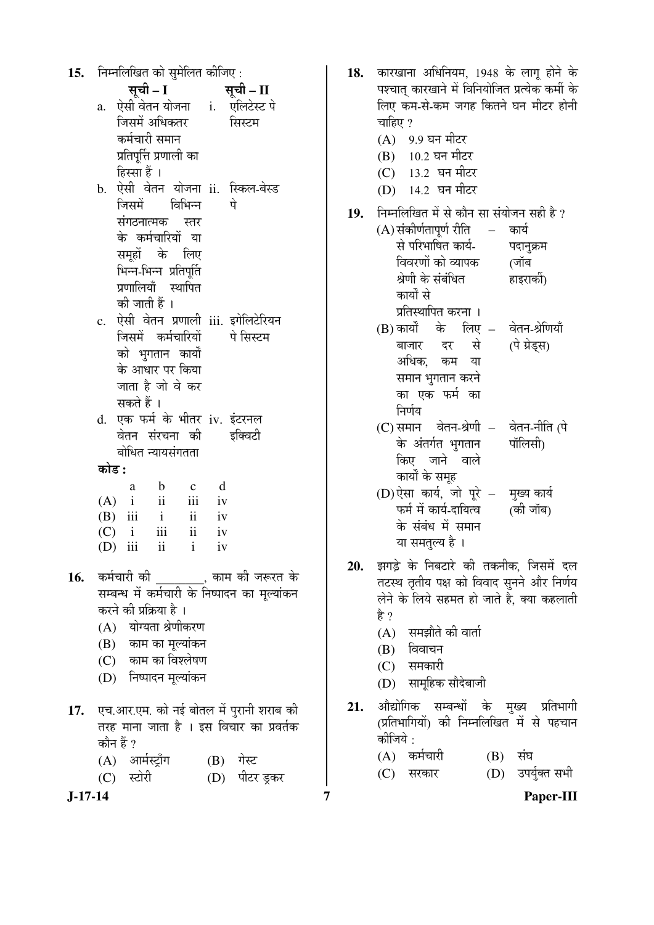| 15.     | निम्नलिखित को सुमेलित कीजिए :                          | 18. | कारखाना अधिनियम, 1948 के लागू होने के                              |
|---------|--------------------------------------------------------|-----|--------------------------------------------------------------------|
|         | सूची – I<br>सूची – II                                  |     | पश्चात् कारखाने में विनियोजित प्रत्येक कर्मी के                    |
|         | a. ऐसी वेतन योजना    i.    एलिटेस्ट पे                 |     | लिए कम-से-कम जगह कितने घन मीटर होनी                                |
|         | जिसमें अधिकतर<br>सिस्टम                                |     | चाहिए ?                                                            |
|         | कर्मचारी समान                                          |     | (A) 9.9 घन मीटर                                                    |
|         | प्रतिपूर्त्ति प्रणाली का                               |     | (B) 10.2 घन मीटर                                                   |
|         | हिस्सा हैं ।                                           |     | (C) 13.2 घन मीटर                                                   |
|         | b. ऐसी वेतन योजना ii. स्किल-बेस्ड                      |     | (D) 14.2 घन मीटर                                                   |
|         | विभिन्न<br>जिसमें<br>पे                                |     |                                                                    |
|         | संगठनात्मक<br>स्तर                                     | 19. | निम्नलिखित में से कौन सा संयोजन सही है ?                           |
|         | के कर्मचारियों या                                      |     | (A) संकीर्णतापूर्ण रीति<br>कार्य<br>$\equiv$<br>से परिभाषित कार्य- |
|         | समूहों के लिए                                          |     | पदानुक्रम                                                          |
|         | भिन्न-भिन्न प्रतिपूर्ति                                |     | विवरणों को व्यापक<br>(जॉब                                          |
|         | प्रणालियाँ स्थापित                                     |     | श्रेणी के संबंधित<br>हाइरार्की)                                    |
|         | की जाती हैं ।                                          |     | कार्यों से                                                         |
|         | c. ऐसी वेतन प्रणाली iii. इगेलिटेरियन                   |     | प्रतिस्थापित करना ।                                                |
|         | जिसमें कर्मचारियों<br>पे सिस्टम                        |     | (B) कार्यों के लिए – वेतन-श्रेणियाँ                                |
|         | को भुगतान कार्यों                                      |     | दर से<br>(पे ग्रेड्स)<br>बाजार                                     |
|         | के आधार पर किया                                        |     | अधिक, कम या                                                        |
|         | जाता है जो वे कर                                       |     | समान भुगतान करने                                                   |
|         | सकते हैं ।                                             |     | का एक फर्म का                                                      |
|         | d. एक फर्म के भीतर iv. इंटरनल                          |     | निर्णय                                                             |
|         | वेतन संरचना की<br>इक्विटी                              |     | (C) समान वेतन-श्रेणी – वेतन-नीति (पे                               |
|         | बोधित न्यायसंगतता                                      |     | पॉलिसी)<br>के अंतर्गत भुगतान                                       |
|         | कोड :                                                  |     | किए जाने वाले                                                      |
|         | d<br>$\mathbf b$<br>a<br>$\mathbf{C}$                  |     | कार्यों के समूह                                                    |
|         | $\overline{\mathbf{ii}}$<br>$\rm iii$<br>$(A)$ i<br>iv |     | (D) ऐसा कार्य, जो पूरे - मुख्य कार्य<br>(की जॉब)                   |
|         | $\rm ii$<br>$\mathbf{i}$<br>$(B)$ iii<br>iv            |     | फर्म में कार्य-दायित्व<br>के संबंध में समान                        |
|         | $\rm iii$<br>$\rm ii$<br>iv<br>$\mathbf{i}$<br>(C)     |     |                                                                    |
|         | $\mathbf{ii}$<br>$\mathbf{i}$<br>iii<br>(D)<br>iv      |     | या समतुल्य है ।                                                    |
|         |                                                        | 20. | झगड़े के निबटारे की तकनीक, जिसमें दल                               |
| 16.     | कर्मचारी की ________, काम की जरूरत के                  |     | तटस्थ तृतीय पक्ष को विवाद सुनने और निर्णय                          |
|         | सम्बन्ध में कर्मचारी के निष्पादन का मूल्यांकन          |     | लेने के लिये सहमत हो जाते है, क्या कहलाती                          |
|         | करने की प्रक्रिया है ।                                 |     | है ?                                                               |
|         | (A) योग्यता श्रेणीकरण                                  |     | (A) समझौते की वार्ता                                               |
|         | (B) काम का मूल्यांकन                                   |     | विवाचन<br>(B)                                                      |
|         | (C) काम का विश्लेषण                                    |     | (C) समकारी                                                         |
|         | (D) निष्पादन मूल्यांकन                                 |     | (D) सामूहिक सौदेबाजी                                               |
|         |                                                        | 21. | औद्योगिक सम्बन्धों के मुख्य प्रतिभागी                              |
| 17.     | एच.आर.एम. को नई बोतल में पुरानी शराब की                |     | (प्रतिभागियों) की निम्नलिखित में से पहचान                          |
|         | तरह माना जाता है । इस विचार का प्रवर्तक<br>कौन हैं ?   |     | कीजिये :                                                           |
|         | (A) आर्मस्ट्राँग                                       |     | (A) कर्मचारी<br>$(B)$ संघ                                          |
|         | (B) गेस्ट<br>स्टोरी                                    |     | उपर्युक्त सभी<br>(C)<br>(D)<br>सरकार                               |
|         | (D) पीटर ड्रकर<br>(C)                                  |     |                                                                    |
| J-17-14 |                                                        | 7   | Paper-III                                                          |

18. कारखाना अधिनियम, 1948 के लागू होने के

- (D) सामूहिक सौदेबाजी
- 21. औद्योगिक सम्बन्धों के मुख्य प्रतिभागी (प्रतिभागियों) की निम्नलिखित<sup>ँ</sup> में से पहचान कोजिये $\, \cdot \,$

| $(A)$ कर्मचारी | $(B)$ संघ |                   |
|----------------|-----------|-------------------|
| $(C)$ सरकार    |           | (D) उपर्युक्त सभी |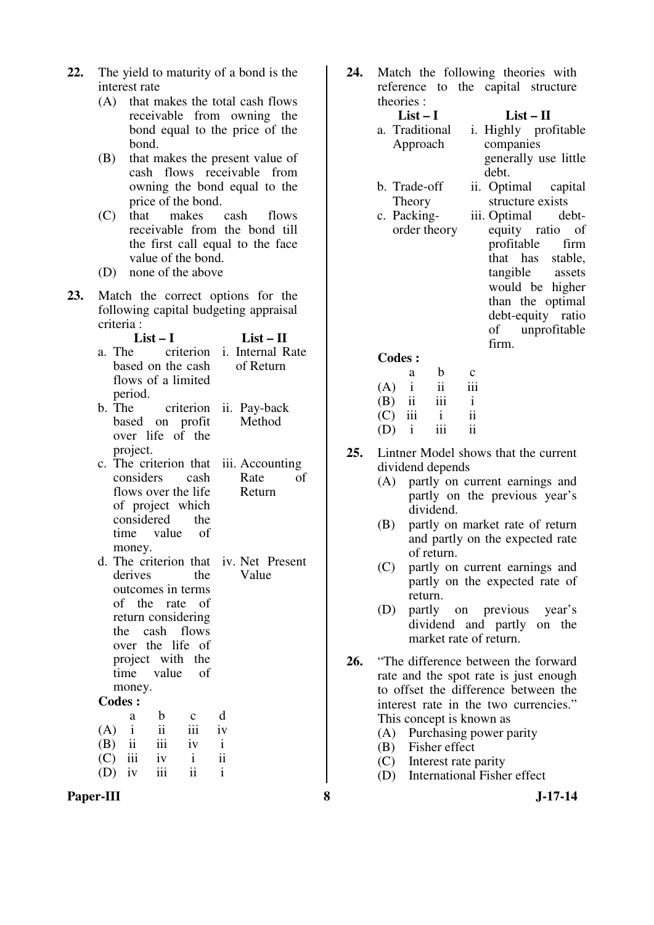- **22.** The yield to maturity of a bond is the interest rate
	- (A) that makes the total cash flows receivable from owning the bond equal to the price of the bond.
	- (B) that makes the present value of cash flows receivable from owning the bond equal to the price of the bond.<br>that makes
	- (C) that makes cash flows receivable from the bond till the first call equal to the face value of the bond.
	- (D) none of the above
- **23.** Match the correct options for the following capital budgeting appraisal criteria :
	- **List I List II**  a. The criterion i. Internal Rate based on the cash flows of a limited period.<br>b. The of Return b. The criterion ii. Pay-back
	- based on profit over life of the project. Method
	- c. The criterion that iii. Accounting considers cash flows over the life of project which considered the time value of money. Rate of Return
	- d. The criterion that iv. Net Present derives the outcomes in terms of the rate of return considering the cash flows over the life of project with the time value of money. Value

#### **Codes :**

|     | a            | h                       | $\mathbf{c}$            | d            |
|-----|--------------|-------------------------|-------------------------|--------------|
| (A) | $\mathbf{i}$ | $\overline{\mathbf{u}}$ | iii                     | iv           |
|     |              | $(B)$ ii iii            | iv                      | $\mathbf{i}$ |
|     |              | $(C)$ iii iv            | i                       | ii           |
|     | $(D)$ iv     | iii                     | $\overline{\mathbf{1}}$ |              |

**Paper-III 8 J-17-14**

**24.** Match the following theories with reference to the capital structure theories :

#### **List – I List – II**  a. Traditional Approach i. Highly profitable companies generally use little debt.

- b. Trade-off Theory
- c. Packingorder theory

ii. Optimal capital structure exists iii. Optimal debtequity ratio of profitable firm that has stable, tangible assets would be higher than the optimal debt-equity ratio of unprofitable firm.

#### **Codes :**

|     | a            | h   | $\mathbf c$ |
|-----|--------------|-----|-------------|
| (A) | $\mathbf{i}$ | ii  | 111         |
| (B) | ii           | iii | i           |
| (C) | iii          |     | ii          |
| (D) |              | iii | ii          |

- **25.** Lintner Model shows that the current dividend depends
	- (A) partly on current earnings and partly on the previous year's dividend.
	- (B) partly on market rate of return and partly on the expected rate of return.
	- (C) partly on current earnings and partly on the expected rate of return.
	- (D) partly on previous year's dividend and partly on the market rate of return.
- **26.** "The difference between the forward rate and the spot rate is just enough to offset the difference between the interest rate in the two currencies." This concept is known as
	- (A) Purchasing power parity
	- (B) Fisher effect
	- (C) Interest rate parity
	- (D) International Fisher effect
		-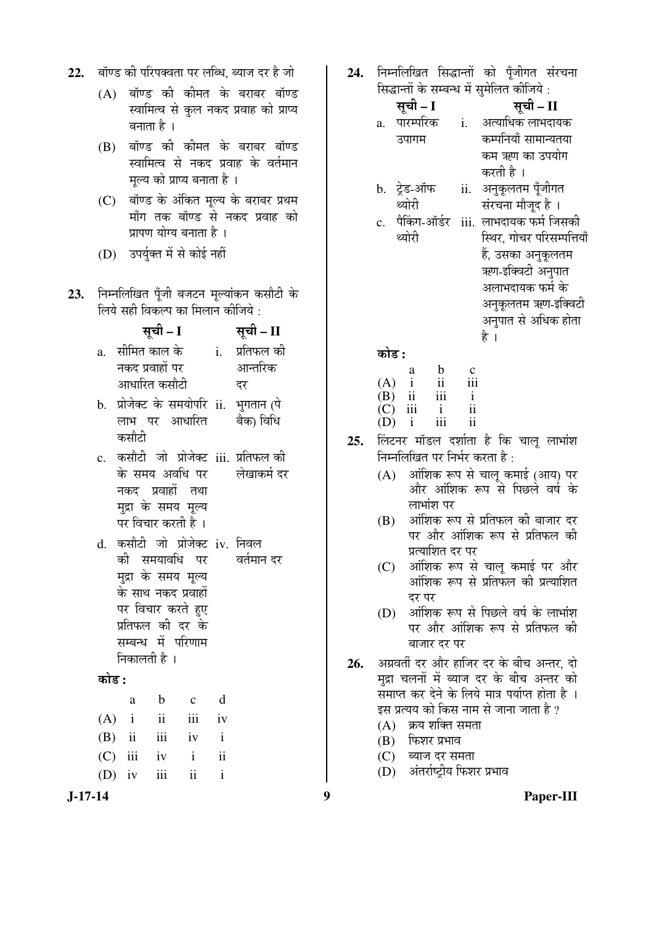|  |  | 22.    बॉण्ड की परिपक्वता पर लब्धि, ब्याज दर है जो |
|--|--|----------------------------------------------------|
|  |  |                                                    |

- $(A)$  बॉण्ड की कीमत के बराबर बॉण्ड स्वामित्व से कुल नकद प्रवाह को प्राप्य बनाता है ।
- (B) बॉण्ड की कीमत के बराबर बॉण्ड स्वामित्व से नकद प्रवाह के वर्तमान मल्य को प्राप्य बनाता है ।
- (C) बॉण्ड के अंकित मूल्य के बराबर प्रथम माँग तक बॉण्ड से नकद प्रवाह को प्रापण योग्य बनाता है।
- (D) उपर्युक्त में से कोई नहीं
- 23. निम्नलिखित पुँजी बजटन मुल्यांकन कसौटी के लिये सही विकल्प का मिलान कीजिये :

|    | सूची – I              | सूची – II  |
|----|-----------------------|------------|
| a. | सीमित काल के          | प्रतिफल की |
|    | नकद प्रवाहों पर       | आन्तरिक    |
|    | आधारित कसौटी          | दर         |
| h  | पोजेक्ट के समयोपरि ii | ्थगतान ∕पे |

- $b.$  प्राजक्ट क समयापार  $11.$ लाभ पर आधारित कसौटी મુનતાન (પ बैका विधि
- c. कसौटी जो प्रोजेक्ट iii. प्रतिफल*की* के समय अवधि पर नकद प्रवाहों तथा मुद्रा के समय मृल्य पर विचार करती है । लेखाकर्म दर
- d. कसौटी जो प्रोजेक्ट iv. निवल को समयावधि पर मुद्रा के समय मूल्य के साथ नकद प्रवाहों पर विचार करते <u>ह</u>ुए प्रतिफल की दर के सम्बन्ध में परिणाम निकालती है । वर्तमान दर

## कोड़ **:**

|  | a b c d           |  |
|--|-------------------|--|
|  | $(A)$ i ii iii iv |  |
|  | $(B)$ ii iii iv i |  |
|  | $(C)$ iii iv i ii |  |
|  | $(D)$ iv iii ii i |  |

24. निम्नलिखित सिद्धान्तों को पँजीगत संरचना सिद्धान्तों के सम्बन्ध में समेलित कीजिये :

|    | सूची – I     |     | सूची - II                  |
|----|--------------|-----|----------------------------|
| a. | पारम्परिक    | i.  | अत्याधिक लाभदायक           |
|    | उपागम        |     | कम्पनियाँ सामान्यतया       |
|    |              |     | कम ऋण का उपयोग             |
|    |              |     | करती है ।                  |
| b. | ट्रेड-ऑफ     | ii. | अनुकूलतम पूँजीगत           |
|    | थ्योरी       |     | संरचना मौजूद है ।          |
|    | पैकिंग-ऑर्डर |     | iii.  लाभदायक फर्म जिसकी   |
|    | थ्योरी       |     | स्थिर, गोचर परिसम्पत्तियाँ |
|    |              |     | हैं, उसका अनुकूलतम         |
|    |              |     | ਜ਼ਗਾ ਟਰਿਕਟੀ -ਖ਼ਤਾਬਰ        |

ऋण-इक्विटा अनुपात अलाभदायक फर्म के अनुकूलतम ऋण-इक्विटी अनुपात से अधिक होता है ।

󜅐ݟ **:**

|     | a            | b   | c   |
|-----|--------------|-----|-----|
| (A) | $\mathbf{i}$ | ii  | 111 |
| (B) | ii           | iii | i   |
| (C) | iii          |     | ii  |
| (D) |              | 111 | 11  |

- **25.** लिंटनर मॉडल दर्शाता है कि चाल लाभांश निम्नलिखित पर निर्भर करता है:
	- (A) आंशिक रूप से चालू कमाई (आय) पर और आंशिक रूप से पिछले वर्ष के लाभांश पर
	- (B) ओशिक रूप से प्रतिफल की बाजार दर पर और आंशिक रूप से प्रतिफल की प्रत्याशित दर पर
	- (C) आंशिक रूप से चालू कमाई पर और <u>ऑशिक रूप से प्रतिफल की प्रत्याशित</u> दर पर
	- $(D)$  अंशिक रूप से पिछले वर्ष के लाभांश पर और आंशिक रूप से प्रतिफल की बाजार दर पर
- 26. अग्रवर्ती दर और हाजिर दर के बीच अन्तर, दो मुद्रा चलनों में ब्याज दर के बीच अन्तर को ँसमाप्त कर देने के लिये मात्र पर्याप्त होता है । इस प्रत्यय को किस नाम से जाना जाता है ?
	- $(A)$  क्रय शक्ति समता
	- $(B)$  फिशर प्रभाव
	- $(C)$  ब्याज दर समता
	- (D) अंतर्राष्ट्रीय फिशर प्रभाव

**J-17-14 9 Paper-III**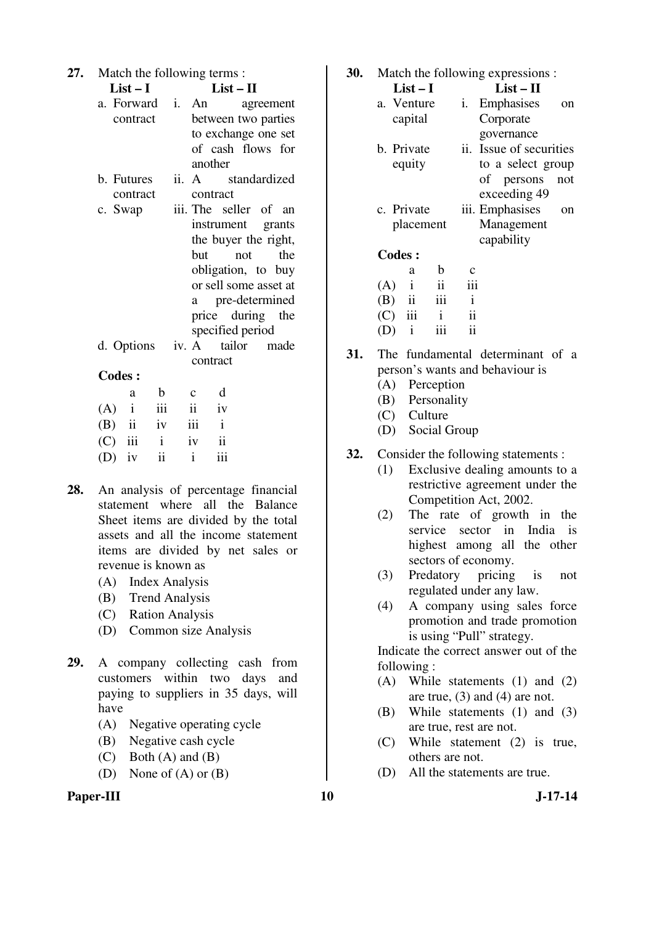| 27. | Match the following terms:           |             |                     |                  |                       |  |  |  |
|-----|--------------------------------------|-------------|---------------------|------------------|-----------------------|--|--|--|
|     | $List-I$                             | $List - II$ |                     |                  |                       |  |  |  |
|     | a. Forward                           |             | i. An               |                  | agreement             |  |  |  |
|     | contract                             |             |                     |                  | between two parties   |  |  |  |
|     |                                      |             |                     |                  | to exchange one set   |  |  |  |
|     |                                      |             |                     |                  | of cash flows for     |  |  |  |
|     |                                      |             | another             |                  |                       |  |  |  |
|     | b. Futures                           |             |                     |                  | ii. A standardized    |  |  |  |
|     | contract                             |             | contract            |                  |                       |  |  |  |
|     | c. Swap                              |             |                     |                  | iii. The seller of an |  |  |  |
|     |                                      |             |                     |                  | instrument grants     |  |  |  |
|     |                                      |             |                     |                  | the buyer the right,  |  |  |  |
|     |                                      |             | but                 | not              | the                   |  |  |  |
|     |                                      |             |                     |                  | obligation, to buy    |  |  |  |
|     |                                      |             |                     |                  | or sell some asset at |  |  |  |
|     |                                      |             |                     |                  | a pre-determined      |  |  |  |
|     |                                      |             |                     |                  | price during the      |  |  |  |
|     |                                      |             |                     | specified period |                       |  |  |  |
|     | d. Options                           |             |                     |                  | iv. A tailor made     |  |  |  |
|     |                                      |             | contract            |                  |                       |  |  |  |
|     | <b>Codes:</b>                        |             |                     |                  |                       |  |  |  |
|     | b<br>a                               |             | $\mathbf{c}$        | d                |                       |  |  |  |
|     | $(A)$ i<br>iii                       |             | $\ddot{\mathbf{i}}$ | iv               |                       |  |  |  |
|     | $(B)$ ii<br>iv                       |             | iii                 | $\mathbf{i}$     |                       |  |  |  |
|     | $(C)$ iii i                          |             | iv                  | $\ddot{\rm ii}$  |                       |  |  |  |
|     | $\overline{\textbf{ii}}$<br>$(D)$ iv |             | $\mathbf{i}$        | iii              |                       |  |  |  |
|     |                                      |             |                     |                  |                       |  |  |  |

- **28.** An analysis of percentage financial statement where all the Balance Sheet items are divided by the total assets and all the income statement items are divided by net sales or revenue is known as
	- (A) Index Analysis
	- (B) Trend Analysis
	- (C) Ration Analysis
	- (D) Common size Analysis
- **29.** A company collecting cash from customers within two days and paying to suppliers in 35 days, will have
	- (A) Negative operating cycle
	- (B) Negative cash cycle
	- (C) Both (A) and (B)
	- (D) None of (A) or (B)
- Paper-III 10 J-17-14

**30.** Match the following expressions :

| $List-I$      | $List-II$               |
|---------------|-------------------------|
| a. Venture    | Emphasises<br>1.<br>on  |
| capital       | Corporate               |
|               | governance              |
| b. Private    | ii. Issue of securities |
| equity        | to a select group       |
|               | of persons<br>not       |
|               | exceeding 49            |
| c. Private    | iii. Emphasises<br>on   |
| placement     | Management              |
|               | capability              |
| <b>Codes:</b> |                         |
| h<br>a        |                         |
| (A)           | 111                     |

| (A) | $\mathbf{i}$            | $\mathbf{ii}$ | 111 |
|-----|-------------------------|---------------|-----|
| (B) | $\overline{\mathbf{u}}$ | 111           | i   |
| (C) | - 111                   | $\mathbf{i}$  | ii  |
| (D) | $\mathbf{i}$            | iii           | ii  |

- **31.** The fundamental determinant of a person's wants and behaviour is
	- (A) Perception
	- (B) Personality
	- (C) Culture
	- (D) Social Group
- **32.** Consider the following statements :
	- (1) Exclusive dealing amounts to a restrictive agreement under the Competition Act, 2002.
	- (2) The rate of growth in the service sector in India is highest among all the other sectors of economy.
	- (3) Predatory pricing is not regulated under any law.
	- (4) A company using sales force promotion and trade promotion is using "Pull" strategy.

 Indicate the correct answer out of the following :

- (A) While statements (1) and (2) are true, (3) and (4) are not.
- (B) While statements (1) and (3) are true, rest are not.
- (C) While statement (2) is true, others are not.
- (D) All the statements are true.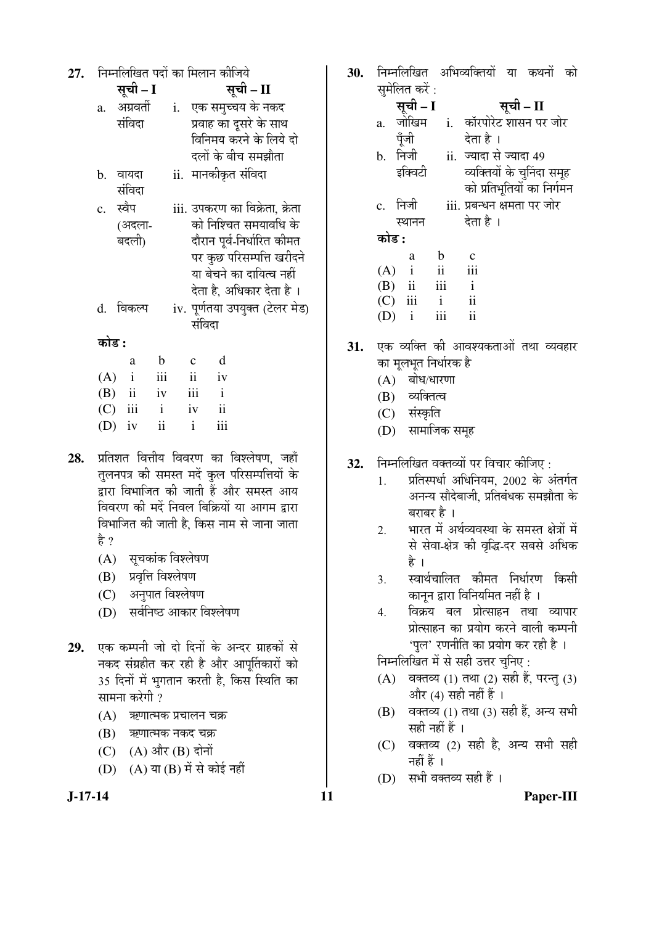| 27. | निम्नलिखित पदों का मिलान कीजिये |              |              |             |  |                    |                                |  |  |                                 |  |
|-----|---------------------------------|--------------|--------------|-------------|--|--------------------|--------------------------------|--|--|---------------------------------|--|
|     |                                 |              | सूची – I     |             |  | सूची – II          |                                |  |  |                                 |  |
|     |                                 |              | a. अग्रवर्ती |             |  |                    | i. एक समुच्चय के नकद           |  |  |                                 |  |
|     |                                 | संविदा       |              |             |  |                    | प्रवाह का दूसरे के साथ         |  |  |                                 |  |
|     |                                 |              |              |             |  |                    | विनिमय करने के लिये दो         |  |  |                                 |  |
|     |                                 |              |              |             |  |                    | दलों के बीच समझौता             |  |  |                                 |  |
|     | b.                              | वायदा        |              |             |  |                    | ii.  मानकीकृत संविदा           |  |  |                                 |  |
|     |                                 | संविदा       |              |             |  |                    |                                |  |  |                                 |  |
|     |                                 | c. स्वैप     |              |             |  |                    | iii. उपकरण का विक्रेता, क्रेता |  |  |                                 |  |
|     |                                 |              | (अदला-       |             |  |                    | को निश्चित समयावधि के          |  |  |                                 |  |
|     |                                 | बदली)        |              |             |  |                    | दौरान पूर्व-निर्धारित कीमत     |  |  |                                 |  |
|     |                                 |              |              |             |  |                    |                                |  |  | पर कुछ परिसम्पत्ति खरीदने       |  |
|     |                                 |              |              |             |  |                    | या बेचने का दायित्व नहीं       |  |  |                                 |  |
|     |                                 |              |              |             |  |                    | देता है, अधिकार देता है ।      |  |  |                                 |  |
|     |                                 | d. विकल्प    |              |             |  |                    |                                |  |  | iv. पूर्णतया उपयुक्त (टेलर मेड) |  |
|     |                                 |              |              |             |  |                    | संविदा                         |  |  |                                 |  |
|     | कोड :                           |              |              |             |  |                    |                                |  |  |                                 |  |
|     |                                 |              | a            | $\mathbf b$ |  | $\mathbf c$        | d                              |  |  |                                 |  |
|     | (A)                             | $\mathbf{i}$ |              | iii         |  | ii                 | iv                             |  |  |                                 |  |
|     |                                 |              | $(B)$ ii     | iv          |  | iii                | $\mathbf{i}$                   |  |  |                                 |  |
|     |                                 | $(C)$ iii    |              | i           |  | iv<br>$\mathbf{i}$ | $\overline{\mathbf{u}}$<br>iii |  |  |                                 |  |
|     | (D)                             | iv           |              | ii          |  |                    |                                |  |  |                                 |  |

- 28. प्रतिशत वित्तीय विवरण का विश्लेषण, जहाँ तुलनपत्र की समस्त मदें कुल परिसम्पत्तियों के द्वारा विभाजित की जाती हैं और समस्त आय विवरण की मदें निवल बिक्रियों या आगम द्वारा विभाजित की जाती है. किस नाम से जाना जाता है ?
	- $(A)$  सुचकांक विश्लेषण
	- $(B)$  प्रवृत्ति विश्लेषण
	- (C) अनुपात विश्लेषण
	- (D) सर्वनिष्ठ आकार विश्लेषण
- 29. एक कम्पनी जो दो दिनों के अन्दर ग्राहकों से नकद संग्रहीत कर रही है और आपूर्तिकारों को 35 दिनों में भगतान करती है. किस स्थिति का सामना करेगी ?
	- $(A)$  ऋणात्मक प्रचालन चक्र
	- (B) ऋणात्मक नकद चक्र
	- $(C)$   $(A)$  और  $(B)$  दोनों
	- (D)  $(A)$  या  $(B)$  में से कोई नहीं
- 

30. निम्नलिखित अभिव्यक्तियों या कथनों को  $\overrightarrow{u}$ 

| $\mathcal{A}$ and $\mathcal{A}$ |                             |
|---------------------------------|-----------------------------|
| सूची - I                        | सूची – II                   |
|                                 | i. कॉरपोरेट शासन पर जोर     |
|                                 | देता है ।                   |
|                                 | ii. ज्यादा से ज्यादा 49     |
|                                 | व्यक्तियों के चुनिंदा समूह  |
|                                 | को प्रतिभूतियों का निर्गमन  |
|                                 | iii. प्रबन्धन क्षमता पर जोर |
|                                 | देता है ।                   |
|                                 |                             |
| $\mathbf b$                     | $\mathbf c$                 |
| ii                              | iii                         |
|                                 | $\mathbf{i}$                |
| $\mathbf{i}$                    | $\mathbf{ii}$               |
| iii                             | ii                          |
|                                 | iii                         |

- **31.** एक व्यक्ति की आवश्यकताओं तथा व्यवहार का मूलभूत निर्धारक है
	- $(A)$  बोध/धारणा
	- (B) व्यक्तित्व
	- (C) संस्कृति
	- (D) सामाजिक समूह
- 32. Fiमलिखित वक्तव्यों पर विचार कीजिए:
	- $1.$  प्रतिस्पर्धा अधिनियम, 2002 के अंतर्गत अनन्य सौदेबाजी, प्रतिबंधक समझौता के बराबर है ।
	- 2. भारत में अर्थव्यवस्था के समस्त क्षेत्रों में से सेवा-क्षेत्र की वृद्धि-दर सबसे अधिक है ।
	- 3. स्वार्थचालित कीमत निर्धारण किसी कानून द्वारा विनियमित नहीं है ।
	- 4. विक्रय बल प्रोत्साहन तथा व्यापार प्रोत्साहन का प्रयोग करने वाली कम्पनी 'पल' रणनीति का प्रयोग कर रही है<sup>।</sup>

निम्नलिखित में से सही उत्तर चुनिए:

- $(A)$  वक्तव्य (1) तथा (2) सही हैं, परन्तु (3) और  $(4)$  सही नहीं हैं।
- $(B)$  वक्तव्य (1) तथा (3) सही हैं, अन्य सभी सही नहीं हैं ।
- $(C)$  वक्तव्य  $(2)$  सही है, अन्य सभी सही नहीं हैं ।
- (D) सभी वक्तव्य सही हैं।

**J-17-14 11 Paper-III**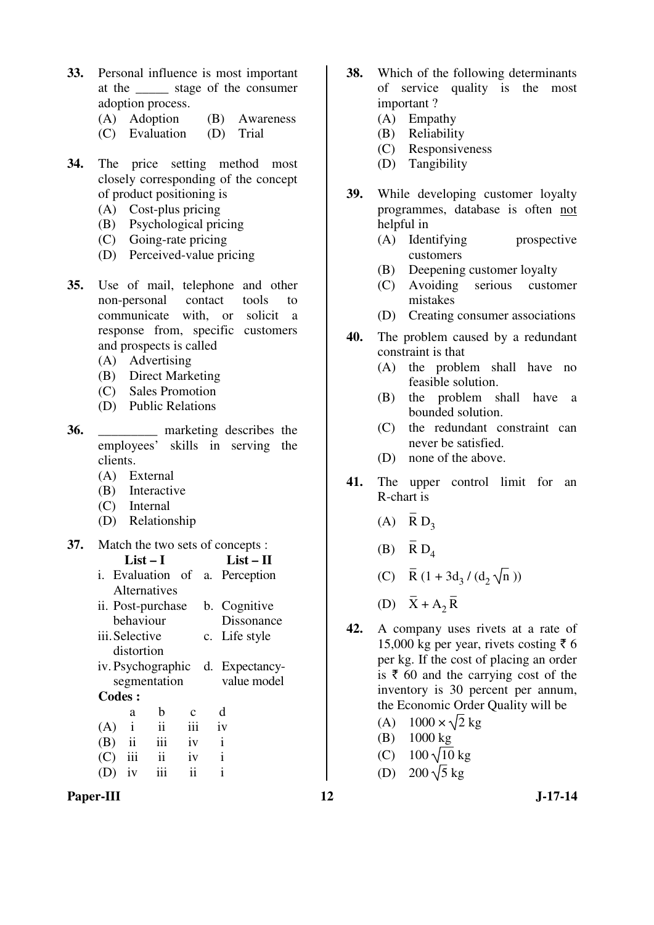- **33.** Personal influence is most important at the \_\_\_\_\_ stage of the consumer adoption process.
	- (A) Adoption (B) Awareness
	- (C) Evaluation (D) Trial
- **34.** The price setting method most closely corresponding of the concept of product positioning is
	- (A) Cost-plus pricing
	- (B) Psychological pricing
	- (C) Going-rate pricing
	- (D) Perceived-value pricing
- **35.** Use of mail, telephone and other non-personal contact tools to communicate with, or solicit a response from, specific customers and prospects is called
	- (A) Advertising
	- (B) Direct Marketing
	- (C) Sales Promotion
	- (D) Public Relations
- **36.** marketing describes the employees' skills in serving the clients.
	- (A) External
	- (B) Interactive
	- (C) Internal
	- (D) Relationship
- **37.** Match the two sets of concepts :

|                | $List-I$     | $List-II$           |             |                                  |
|----------------|--------------|---------------------|-------------|----------------------------------|
|                |              |                     |             | i. Evaluation of a. Perception   |
|                |              | Alternatives        |             |                                  |
|                |              | ii. Post-purchase   |             | b. Cognitive                     |
|                | behaviour    |                     |             | Dissonance                       |
| iii. Selective |              |                     |             | c. Life style                    |
|                | distortion   |                     |             |                                  |
|                |              |                     |             | iv. Psychographic d. Expectancy- |
|                |              | segmentation        |             | value model                      |
| <b>Codes:</b>  |              |                     |             |                                  |
|                | a            | b                   | $\mathbf c$ | d                                |
| (A)            | $\mathbf{i}$ | $\mathbf{ii}$       | iii         | $\mathbf{i}$                     |
| $(B)$ ii       |              | iii                 | iv          | $\mathbf{i}$                     |
| (C)            | iii          | $\ddot{\mathbf{i}}$ | iv          | $\mathbf{i}$                     |
|                | iv           |                     | ii          | i                                |

Paper-III **12** J-17-14

- **38.** Which of the following determinants of service quality is the most important ?
	- (A) Empathy
	- (B) Reliability
	- (C) Responsiveness
	- (D) Tangibility
- **39.** While developing customer loyalty programmes, database is often not helpful in
	- (A) Identifying prospective customers
	- (B) Deepening customer loyalty
	- (C) Avoiding serious customer mistakes
	- (D) Creating consumer associations
- **40.** The problem caused by a redundant constraint is that
	- (A) the problem shall have no feasible solution.
	- (B) the problem shall have a bounded solution.
	- (C) the redundant constraint can never be satisfied.
	- (D) none of the above.
- **41.** The upper control limit for an R-chart is
- (A)  $\overline{R} D_3$
- (B)  $\overline{R} D_4$
- (C)  $\bar{R}$  (1 + 3d<sub>3</sub> / (d<sub>2</sub>  $\sqrt{n}$ ))
- (D)  $\overline{X} + A_2$  $\overline{\phantom{0}}$ R
- **42.** A company uses rivets at a rate of 15,000 kg per year, rivets costing  $\bar{z}$  6 per kg. If the cost of placing an order is  $\bar{\tau}$  60 and the carrying cost of the inventory is 30 percent per annum, the Economic Order Quality will be
	- (A)  $1000 \times \sqrt{2}$  kg
	- (B) 1000 kg
	- (C)  $100\sqrt{10}$  kg
	- (D) 200  $\sqrt{5}$  kg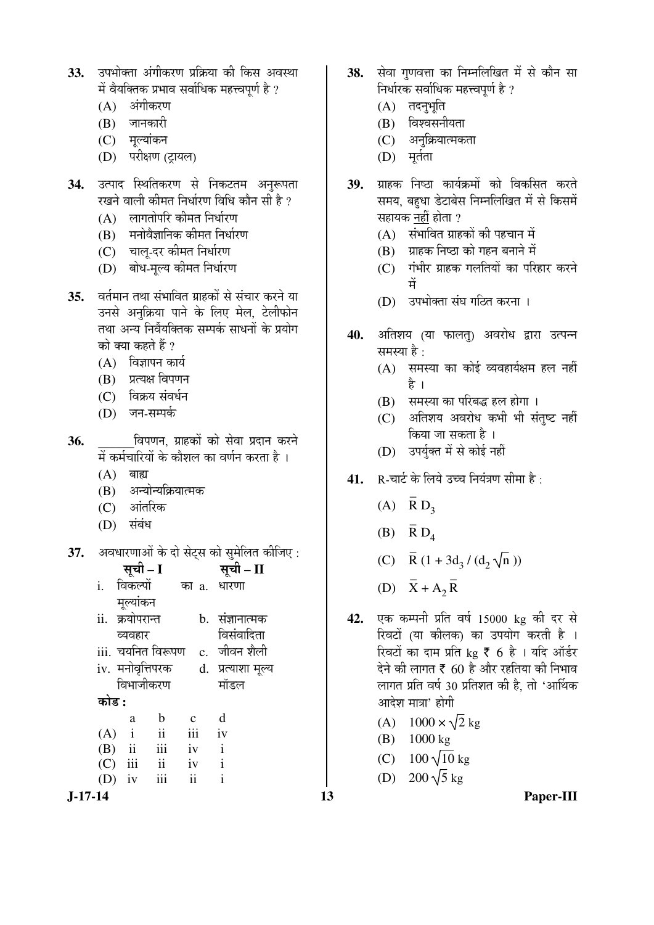- 33. उपभोक्ता अंगीकरण प्रक्रिया की किस अवस्था में वैयक्तिक प्रभाव सर्वाधिक महत्त्वपर्ण है ?
	- $(A)$  अंगीकरण
	- (B) जानकारी
	- (C) मूल्यांकन
	- (D) परीक्षण (ट्रायल)
- **34.** उत्पाद स्थितिकरण से निकटतम अनुरूपता रखने वाली कीमत निर्धारण विधि कौन सी है ?
	- $(A)$  लागतोपरि कीमत निर्धारण
	- $(B)$  मनोवैज्ञानिक कीमत निर्धारण
	- (C) चाल्-दर कीमत निर्धारण
	- (D) बोध-मुल्य कीमत निर्धारण
- **35.** ¾ÖŸÖÔ´ÖÖ®Ö ŸÖ£ÖÖ ÃÖÓ³ÖÖ×¾ÖŸÖ ÝÖÏÖÆüÛúÖë ÃÖê ÃÖÓ"ÖÖ¸ü Ûú¸ü®Öê µÖÖ उनसे अनुक्रिया पाने के लिए मेल, टेलीफोन तथा अन्य निर्वेयक्तिक सम्पर्क साधनों के प्रयोग को क्या कहते हैं ?
	- $(A)$  विज्ञापन कार्य
	- $(B)$  प्रत्यक्ष विपणन
	- (C) विक्रय संवर्धन
	- (D) जन-सम्पर्क
- **36.** \_\_\_\_\_\_×¾Ö¯ÖÞÖ®Ö, ÝÖÏÖÆüÛúÖë ÛúÖê ÃÖê¾ÖÖ ¯ÖϤüÖ®Ö Ûú¸ü®Öê में कर्मचारियों के कौशल का वर्णन करता है।
	- $(A)$  बाह्य
	- (B) अन्योन्यक्रियात्मक
	- (C) आंतरिक
	- (D) संबंध
- **37.** अवधारणाओं के दो सेट्स को सुमेलित कीजिए :

| सूची – I                                                                                                          | सूची - II                            | (C) $N(1 + 3u_3/(u_2)(1))$                                                                                                           |
|-------------------------------------------------------------------------------------------------------------------|--------------------------------------|--------------------------------------------------------------------------------------------------------------------------------------|
| i. विकल्पों<br>का a. धारणा                                                                                        |                                      | (D) $X + A_2 \overline{R}$                                                                                                           |
| मुल्यांकन<br>ii. क्रयोपरान्त<br>व्यवहार                                                                           | 42.<br>b. संज्ञानात्मक<br>विसंवादिता | एक कम्पनी प्रति वर्ष 15000 kg की दर से<br>रिवटों (या कीलक) का उपयोग करती है ।                                                        |
| iii. चयनित विरूपण c. जीवन शैली<br>iv. मनोवृत्तिपरक d. प्रत्याशा मूल्य<br>विभाजीकरण                                | मॉडल                                 | रिवटों का दाम प्रति kg ₹ 6 है । यदि ऑर्डर<br>देने की लागत ₹ 60 है और रहतिया की निभाव<br>लागत प्रति वर्ष 30 प्रतिशत की है, तो 'आर्थिक |
| कोड :                                                                                                             |                                      | आदेश मात्रा' होगी                                                                                                                    |
| $\mathbf b$<br>$\mathbf{C}$<br>a<br>$\overline{\mathbf{u}}$<br>iii<br>$\mathbf{i}$<br>(A)<br>iii<br>$\mathbf{ii}$ | d<br>iv                              | (A) $1000 \times \sqrt{2}$ kg<br>1000 kg<br>(B)                                                                                      |
| iv<br>(B)<br>iii<br>$\overline{\mathbf{u}}$<br>iv<br>(C)<br>iii<br>$\overline{\mathbf{u}}$                        | $\mathbf{i}$<br>$\mathbf{i}$         | (C) $100\sqrt{10}$ kg<br>(D) $200\sqrt{5}$ kg                                                                                        |
| $\mathbf{i}$<br>$(D)$ iv<br>J-17-14                                                                               | 13                                   | Paper-III                                                                                                                            |

- 38. सेवा गणवत्ता का निम्नलिखित में से कौन सा निर्धारक सर्वाधिक महत्त्वपूर्ण है ?
	- $(A)$  तदनुभूति
	- $(B)$  विश्वसनीयता
	- (C) अनुक्रियात्मकता
	- $(D)$  मुर्तता
- 39. ग्राहक निष्ठा कार्यक्रमों को विकसित करते समय, बहुधा डेटाबेस निम्नलिखित में से किसमें सहायक नहीं होता ?
	- $(A)$  संभावित ग्राहकों की पहचान में
	- (B) प्राहक निष्ठा को गहन बनाने में
	- $(C)$  गंभीर ग्राहक गलतियों का परिहार करने में
	- (D) उपभोक्ता संघ गठित करना ।
- 40. अतिशय (या फालत्) अवरोध द्वारा उत्पन्न समस्या है $\,$ :
	- $(A)$  समस्या का कोई व्यवहार्यक्षम हल नहीं है ।
	- (B) समस्या का परिबद्ध हल होगा ।
	- $(C)$  अतिशय अवरोध कभी भी संतष्ट नहीं किया जा सकता है ।
	- (D) उपर्युक्त में से कोई नहीं
- 41. R-चार्ट के लिये उच्च नियंत्रण सीमा है:
- (A)  $\overline{R} D_3$
- (B)  $\overline{R} D_4$
- (C)  $\bar{R}$  (1 + 3d<sub>3</sub> / (d<sub>2</sub>  $\sqrt{n}$ ))
- (D)  $\overline{X} + A_2$  $\frac{1}{n}$ R
- 42. एक कम्पनी प्रति वर्ष 15000 kg की दर से <u>रिवटों (या कीलक) का उपयोग करती है</u> । रिवटों का दाम प्रति  $\text{kg}$  ₹ 6 है। यदि ऑर्डर देने की लागत  $\bar{\epsilon}$  60 है और रहतिया की निभाव लागत प्रति वर्ष 30 प्रतिशत की है. तो 'आर्थिक आदेश मात्रा' होगी
	- (A)  $1000 \times \sqrt{2}$  kg
	- (B) 1000 kg
	- (C)  $100\sqrt{10}$  kg
	- (D) 200  $\sqrt{5}$  kg
-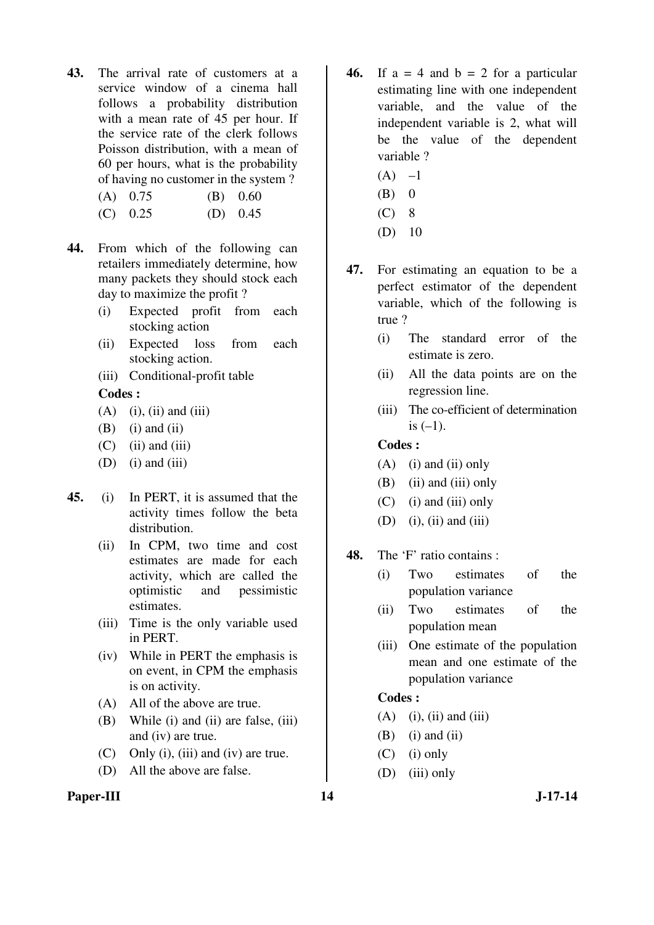- **43.** The arrival rate of customers at a service window of a cinema hall follows a probability distribution with a mean rate of 45 per hour. If the service rate of the clerk follows Poisson distribution, with a mean of 60 per hours, what is the probability of having no customer in the system ?
	- (A) 0.75 (B) 0.60
	- (C) 0.25 (D) 0.45
- **44.** From which of the following can retailers immediately determine, how many packets they should stock each day to maximize the profit ?
	- (i) Expected profit from each stocking action
	- (ii) Expected loss from each stocking action.
	- (iii) Conditional-profit table

#### **Codes :**

- $(A)$  (i), (ii) and (iii)
- $(B)$  (i) and (ii)
- $(C)$  (ii) and (iii)
- $(D)$  (i) and (iii)
- **45.** (i) In PERT, it is assumed that the activity times follow the beta distribution.
	- (ii) In CPM, two time and cost estimates are made for each activity, which are called the optimistic and pessimistic estimates.
	- (iii) Time is the only variable used in PERT.
	- (iv) While in PERT the emphasis is on event, in CPM the emphasis is on activity.
	- (A) All of the above are true.
	- (B) While (i) and (ii) are false, (iii) and (iv) are true.
	- (C) Only (i), (iii) and (iv) are true.
	- (D) All the above are false.

#### Paper-III 14 J-17-14

- **46.** If  $a = 4$  and  $b = 2$  for a particular estimating line with one independent variable, and the value of the independent variable is 2, what will be the value of the dependent variable ?
	- $(A)$  –1
	- $(B)$  0
	- $(C)$  8
	- (D) 10
- **47.** For estimating an equation to be a perfect estimator of the dependent variable, which of the following is true ?
	- (i) The standard error of the estimate is zero.
	- (ii) All the data points are on the regression line.
	- (iii) The co-efficient of determination is  $(-1)$ .

#### **Codes :**

- $(A)$  (i) and (ii) only
- $(B)$  (ii) and (iii) only
- $(C)$  (i) and (iii) only
- $(D)$  (i), (ii) and (iii)
- **48.** The 'F' ratio contains :
	- (i) Two estimates of the population variance
	- (ii) Two estimates of the population mean
	- (iii) One estimate of the population mean and one estimate of the population variance

# **Codes :**

- $(A)$  (i), (ii) and (iii)
- $(B)$  (i) and (ii)
- $(C)$  (i) only
- (D) (iii) only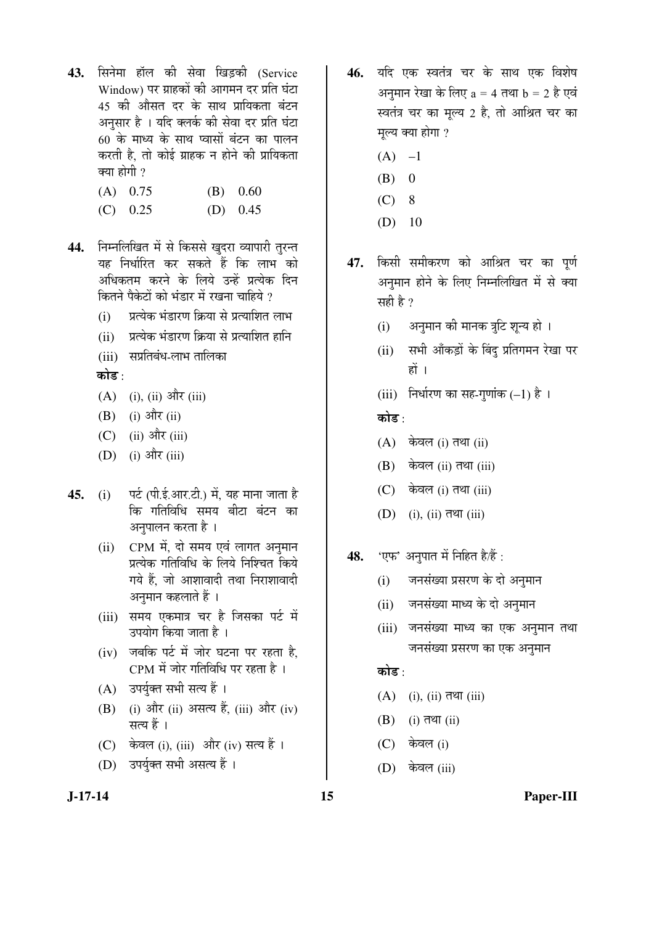- 43. सिनेमा हॉल की सेवा खिडकी (Service Window) पर ग्राहकों की आगमन दर प्रति घंटा 45 की ओसत दर के साथ प्रायिकता बंटन अनुसार है । यदि क्लर्क की सेवा दर प्रति घंटा 60 के माध्य के साथ प्वासों बंटन का पालन करती है. तो कोई ग्राहक न होने की प्रायिकता क्या होगी ?
	- (A) 0.75 (B) 0.60
	- (C) 0.25 (D) 0.45
- 44. निम्नलिखित में से किससे खुदरा व्यापारी तुरन्त यह निर्धारित कर सकते हैं कि लाभ को अधिकतम करने के लिये उन्हें प्रत्येक दिन कितने पैकेटों को भंडार में रखना चाहिये ?
	- (i) जिल्येक भंडारण क्रिया से प्रत्याशित लाभ
	- (ii) जिल्येक भंडारण क्रिया से प्रत्याशित हानि
	- (iii) सप्रतिबंध-लाभ तालिका
	- कोड :
	- $(A)$  (i), (ii) और (iii)
	- $(B)$  (i) और (ii)
	- $(C)$  (ii) और (iii)
	- $(D)$  (i) और (iii)
- **45.** (i) पर्ट (पी.ई.आर.टी.) में, यह माना जाता है कि गतिविधि समय बीटा बंटन का अनुपालन करता है ।
	- (ii) CPM में, दो समय एवं लागत अनुमान प्रत्येक गतिविधि के लिये निश्चित किये गये हैं. जो आशावादी तथा निराशावादी अनुमान कहलाते हैं ।
	- (iii) समय एकमात्र चर है जिसका पर्ट में उपयोग किया जाता है ।
	- $(iv)$  जबकि पर्ट में जोर घटना पर रहता है. CPM में जोर गतिविधि पर रहता है ।
	- (A) उपर्युक्त सभी सत्य हैं।
	- (B) (i) और (ii) असत्य हैं, (iii) और (iv) सत्य हैं ।
	- (C) केवल (i), (iii) और (iv) सत्य हैं ।
	- (D) उपर्युक्त सभी असत्य हैं ।
- 46. यदि एक स्वतंत्र चर के साथ एक विशेष अनमान रेखा के लिए  $a = 4$  तथा  $b = 2$  है एवं स्वतंत्र चर का मूल्य 2 है, तो आश्रित चर का मल्य क्या होगा ?
	- $(A)$  –1
	- $(B) 0$
	- $(C)$  8
	- (D) 10
- 47. किसी समीकरण को आश्रित चर का पूर्ण अनुमान होने के लिए निम्नलिखित में से क्या सही है ?
	- (i) अनुमान की मानक त्रुटि शून्य हो ।
	- (ii) सभी आँकड़ों के बिंदु प्रतिगमन रेखा पर हों ।
	- (iii) निर्धारण का सह-गुणांक  $(-1)$  है।

कोड ·

- $(A)$  केवल (i) तथा (ii)
- $(B)$  केवल (ii) तथा (iii)
- $(C)$  केवल (i) तथा (iii)
- $(D)$  (i), (ii) तथा (iii)
- **48.** 'एफ' अनुपात में निहित है/हैं :
	- (i) जनसंख्या प्रसरण के दो अनुमान
	- (ii) जनसंख्या माध्य के दो अनुमान
	- (iii) जनसंख्या माध्य का एक अनुमान तथा जनसंख्या प्रसरण का एक अनुमान

कोड  $\cdot$ 

- $(A)$  (i), (ii) तथा (iii)
- $(B)$  (i) तथा (ii)
- $(C)$  केवल (i)
- (D) केवल (iii)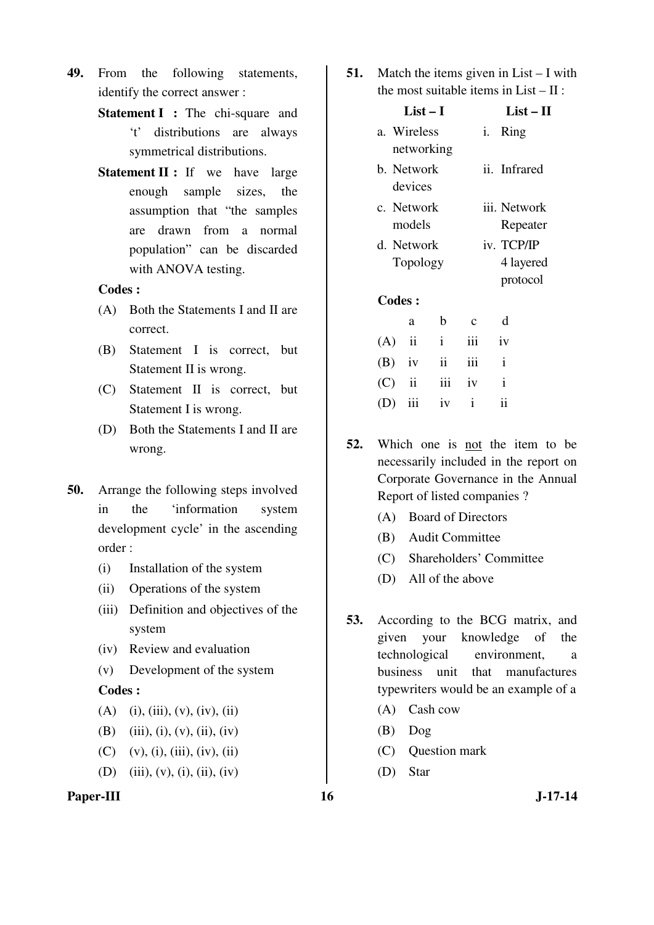- **49.** From the following statements, identify the correct answer :
	- **Statement I** : The chi-square and 't' distributions are always symmetrical distributions.
	- **Statement II :** If we have large enough sample sizes, the assumption that "the samples are drawn from a normal population" can be discarded with ANOVA testing.

#### **Codes :**

- (A) Both the Statements I and II are correct.
- (B) Statement I is correct, but Statement II is wrong.
- (C) Statement II is correct, but Statement I is wrong.
- (D) Both the Statements I and II are wrong.
- **50.** Arrange the following steps involved in the 'information system development cycle' in the ascending order :
	- (i) Installation of the system
	- (ii) Operations of the system
	- (iii) Definition and objectives of the system
	- (iv) Review and evaluation
	- (v) Development of the system

#### **Codes :**

- $(A)$  (i), (iii), (v), (iv), (ii)
- (B) (iii), (i), (v), (ii), (iv)
- (C) (v), (i), (iii), (iv), (ii)
- (D) (iii), (v), (i), (ii), (iv)

# Paper-III 16 J-17-14

**51.** Match the items given in List – I with the most suitable items in List – II :

|          | $List-I$                  |                 |             |              | $List-II$             |  |  |
|----------|---------------------------|-----------------|-------------|--------------|-----------------------|--|--|
|          | a. Wireless<br>networking |                 |             | Ring<br>i.   |                       |  |  |
|          | b. Network<br>devices     |                 |             | ii. Infrared |                       |  |  |
|          | c. Network<br>models      |                 |             | iii. Network | Repeater              |  |  |
|          | d. Network<br>Topology    |                 |             | iv. TCP/IP   | 4 layered<br>protocol |  |  |
|          | <b>Codes:</b>             |                 |             |              |                       |  |  |
|          | a                         | b               | $\mathbf c$ | d            |                       |  |  |
| (A)      | $\mathbf{ii}$             | $\mathbf{i}$    | iii         | iv           |                       |  |  |
| $(B)$ iv |                           | $\ddot{\rm ii}$ | iii         | $\mathbf{i}$ |                       |  |  |
| (C)      | $\ddot{\rm n}$            | iii             | iv          | $\mathbf{i}$ |                       |  |  |
| (D)      | iii                       | iv              | 1           | ii           |                       |  |  |

- **52.** Which one is not the item to be necessarily included in the report on Corporate Governance in the Annual Report of listed companies ?
	- (A) Board of Directors
	- (B) Audit Committee
	- (C) Shareholders' Committee
	- (D) All of the above
- **53.** According to the BCG matrix, and given your knowledge of the technological environment, a business unit that manufactures typewriters would be an example of a
	- (A) Cash cow
	- (B) Dog
	- (C) Question mark
	- (D) Star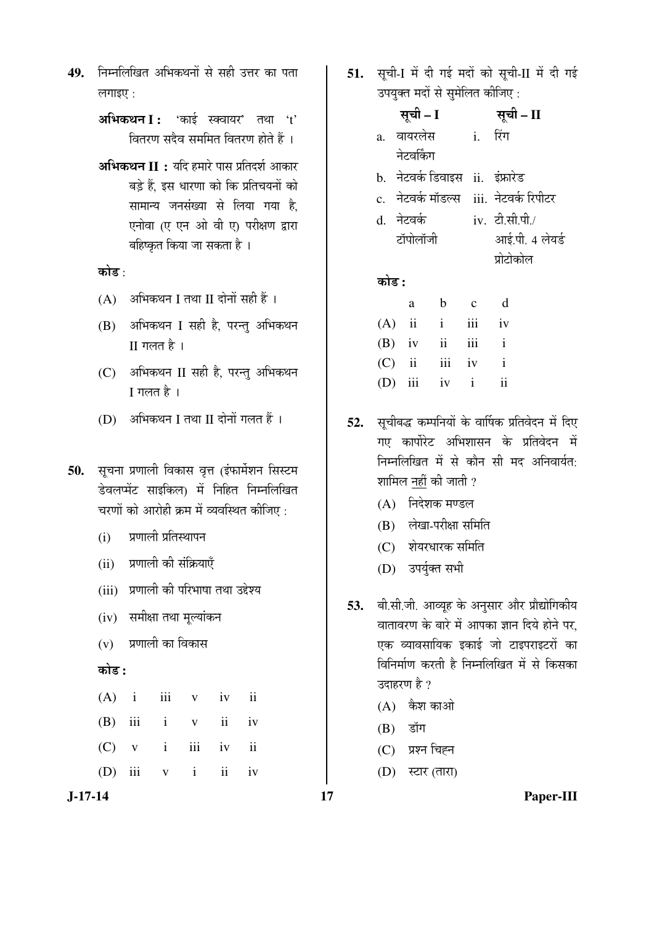49. निम्नलिखित अभिकथनों से सही उत्तर का पता लगाइए $\cdot$ 

> **अभिकथन I :** 'काई स्क्वायर' तथा 't' <u>वितरण सदैव सममित वितरण होते हैं</u>।

> **अभिकथन II :** यदि हमारे पास प्रतिदर्श आकार बड़े हैं. इस धारणा को कि प्रतिचयनों को सामान्य जनसंख्या से लिया गया है. एनोवा (ए एन ओ वी ए) परीक्षण द्वारा बहिष्कृत किया जा सकता है ।

कोड :

- $(A)$  अभिकथन I तथा II दोनों सही हैं ।
- (B) अभिकथन I सही है, परन्तु अभिकथन  $II$  गलत है $\bot$
- (C) अभिकथन II सही है, परन्तु अभिकथन  $I$  गलत है $\bot$
- $(D)$  अभिकथन I तथा II दोनों गलत हैं ।
- 50. सूचना प्रणाली विकास वृत्त (इंफार्मेशन सिस्टम डेवलप्मेंट साइकिल) में निहित निम्नलिखित चरणों को आरोही क्रम में व्यवस्थित कीजिए :
	- (i) प्रणाली प्रतिस्थापन
	- (ii) प्रणाली की संक्रियाएँ
	- (iii) प्रणाली की परिभाषा तथा उद्देश्य
	- (iv) समीक्षा तथा मूल्यांकन
	- $(v)$  प्रणाली का विकास

#### 󜅐ݟ **:**

|  | $(A)$ i iii v iv ii   |  |  |
|--|-----------------------|--|--|
|  | $(B)$ iii i v ii iv   |  |  |
|  | $(C)$ v i iii iv ii   |  |  |
|  | $(D)$ iii $v$ i ii iv |  |  |

**J-17-14 17 Paper-III**

51. सूची-I में दी गई मदों को सूची-II में दी गई उपयुक्त मदों से सुमेलित कीजिए :

|       | सूची – I      |                                    |              | सूची – II                                  |
|-------|---------------|------------------------------------|--------------|--------------------------------------------|
|       | a. वायरलेस    |                                    | $\mathbf{i}$ | रिंग                                       |
|       | नेटवर्किंग    |                                    |              |                                            |
|       |               | b.  नेटवर्क डिवाइस  ii.  इंफ्रारेड |              |                                            |
|       |               |                                    |              | c.   नेटवर्क मॉडल्स   iii.  नेटवर्क रिपीटर |
|       | d. नेटवर्क    |                                    |              | iv. टी.सी.पी./                             |
|       | टॉपोलॉजी      |                                    |              | आई.पी. 4 लेयर्ड                            |
|       |               |                                    |              | प्रोटोकोल                                  |
| कोड : |               |                                    |              |                                            |
|       | a             | b                                  | $\mathbf{c}$ | d                                          |
| (A)   | $\mathbf{ii}$ | $\mathbf{i}$                       | iii          | iv                                         |
| (B)   | iv            | ii                                 | iii          | $\mathbf{i}$                               |

52. सूचीबद्ध कम्पनियों के वार्षिक प्रतिवेदन में दिए गए कार्पोरेट अभिशासन के प्रतिवेदन में निम्नलिखित में से कौन सी मद अनिवार्यत: शामिल नहीं की जाती ?

 (C) ii iii iv i (D) iii iv i ii

- $(A)$  निदेशक मण्डल
- $(B)$  लेखा-परीक्षा समिति
- $(C)$  शेयरधारक समिति
- (D) उपर्युक्त सभी
- **53.** बी.सी.जी. आव्यूह के अनुसार और प्रौद्योगिकीय वातावरण के बारे में आपका ज्ञान दिये होने पर. एक व्यावसायिक इकाई जो टाइपराइटरों का विनिर्माण करती है निम्नलिखित में से किसका उदाहरण है ?
	- $(A)$  कैश काओ
	- $(B)$  डॉग
	- (C) प्रश्न चिह्न
	- $(D)$  स्टार (तारा)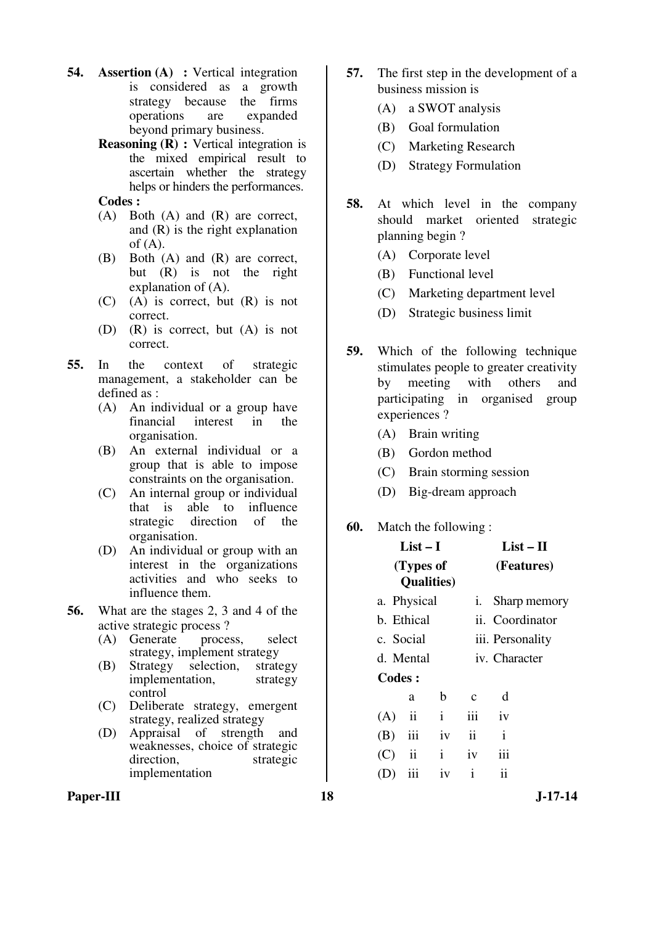- **54. Assertion (A) :** Vertical integration is considered as a growth strategy because the firms operations are expanded beyond primary business.
	- **Reasoning (R) :** Vertical integration is the mixed empirical result to ascertain whether the strategy helps or hinders the performances.
	- **Codes :**
	- (A) Both (A) and (R) are correct, and (R) is the right explanation of  $(A)$ .
	- (B) Both (A) and (R) are correct, but (R) is not the right explanation of (A).
	- (C) (A) is correct, but (R) is not correct.
	- (D) (R) is correct, but (A) is not correct.
- **55.** In the context of strategic management, a stakeholder can be defined as :
	- (A) An individual or a group have financial interest in the organisation.
	- (B) An external individual or a group that is able to impose constraints on the organisation.
	- (C) An internal group or individual that is able to influence strategic direction of the organisation.
	- (D) An individual or group with an interest in the organizations activities and who seeks to influence them.
- **56.** What are the stages 2, 3 and 4 of the active strategic process ?
	- (A) Generate process, select strategy, implement strategy<br>Strategy selection, strategy
	- (B) Strategy selection, implementation, strategy control
	- (C) Deliberate strategy, emergent strategy, realized strategy
	- (D) Appraisal of strength and weaknesses, choice of strategic direction, strategic implementation
- **57.** The first step in the development of a business mission is
	- (A) a SWOT analysis
	- (B) Goal formulation
	- (C) Marketing Research
	- (D) Strategy Formulation
- **58.** At which level in the company should market oriented strategic planning begin ?
	- (A) Corporate level
	- (B) Functional level
	- (C) Marketing department level
	- (D) Strategic business limit
- **59.** Which of the following technique stimulates people to greater creativity by meeting with others and participating in organised group experiences ?
	- (A) Brain writing
	- (B) Gordon method
	- (C) Brain storming session
	- (D) Big-dream approach

### **60.** Match the following :

|          | List – I                        |              |               | List – II        |  |  |
|----------|---------------------------------|--------------|---------------|------------------|--|--|
|          | (Types of<br><b>Qualities</b> ) |              |               | (Features)       |  |  |
|          | a. Physical                     |              | i.            | Sharp memory     |  |  |
|          | b. Ethical                      |              |               | ii. Coordinator  |  |  |
|          | c. Social                       |              |               | iii. Personality |  |  |
|          | d. Mental                       |              |               | iv. Character    |  |  |
| Codes:   |                                 |              |               |                  |  |  |
|          | a                               | b            | $\mathbf{c}$  | d                |  |  |
| (A)      | ii                              | $\mathbf{i}$ | iii           | iv               |  |  |
| (B)      | iii                             | iv           | $\mathbf{ii}$ | i                |  |  |
| $(C)$ ii |                                 | $\mathbf{i}$ | iv            | iii              |  |  |
|          | iii                             | iv           | $\mathbf{i}$  | ii               |  |  |
|          |                                 |              |               |                  |  |  |

Paper-III **18** J-17-14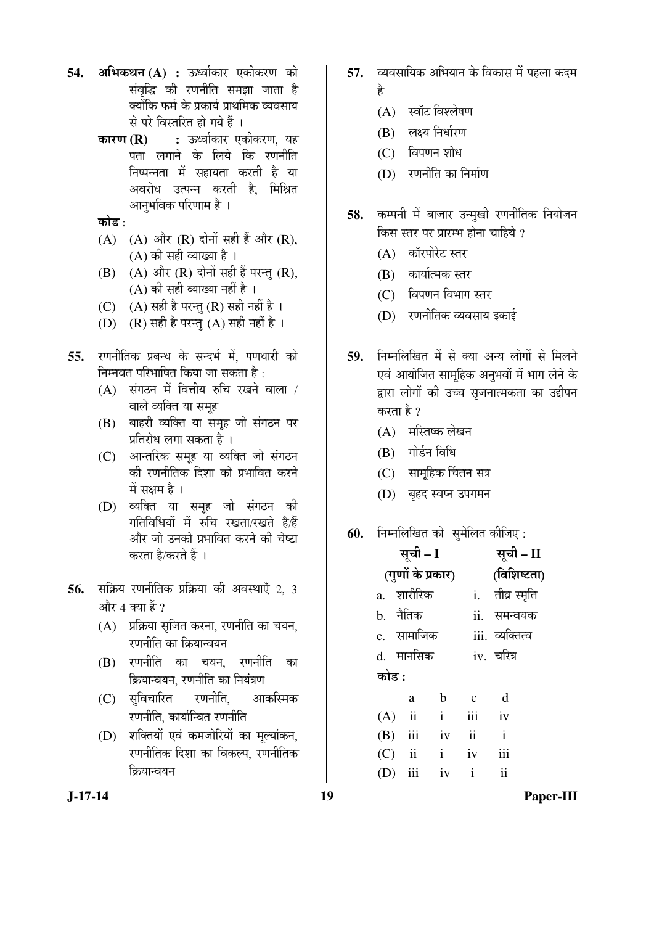- 54. **अभिकथन (A) :** ऊर्ध्वाकार एकीकरण को संवृद्धि की रणनीति समझा जाता है क्योंकि फर्म के प्रकार्य प्राथमिक व्यवसाय से परे विस्तरित हो गये हैं ।
	- **कारण (R) :** ऊर्ध्वाकार एकीकरण, यह पता लगाने के लिये कि रणनीति निष्पन्नता में सहायता करती है या अवरोध उत्पन्न करती है. मिश्रित आनुभविक परिणाम है ।
	- कोड :
	- $(A)$   $(A)$  और  $(R)$  दोनों सही हैं और  $(R)$ , (A) की सही व्याख्या है ।
	- $(B)$   $(A)$  और  $(R)$  दोनों सही हैं परन्तु  $(R)$ ,  $(A)$  की सही व्याख्या नहीं है ।
	- (C)  $(A)$  सही है परन्तु (R) सही नहीं है ।
	- (D) (R) सही है परन्तु (A) सही नहीं है ।
- 55. उणनीतिक प्रबन्ध के सन्दर्भ में पणधारी को निम्नवत परिभाषित किया जा सकता है :
	- $(A)$  संगठन में वित्तीय रुचि रखने वाला / वाले व्यक्ति या समृह
	- (B) बाहरी व्यक्ति या समूह जो संगठन पर प्रतिरोध लगा सकता है ।
	- (C) । आन्तरिक समूह या व्यक्ति जो संगठन की रणनीतिक दिशा को प्रभावित करने में सक्षम $\kappa$ ।
	- (D) व्यक्ति या समह जो संगठन की गतिविधियों में रुचि रखता/रखते है/हैं और जो उनको प्रभावित करने की चेष्टा करता है/करते हैं ।
- **56.** सक्रिय रणनीतिक प्रक्रिया की अवस्थाएँ 2, 3 और 4 क्या हैं ?
	- $(A)$  प्रक्रिया सुजित करना, रणनीति का चयन, रणनीति का क्रियान्वयन
	- (B) रणनीति का चयन, रणनीति का क्रियान्वयन. रणनीति का नियंत्रण
	- (C) सुविचारित रणनीति, आकस्मिक रणनीति. कार्यान्वित रणनीति
	- (D) शक्तियों एवं कमजोरियों का मृत्यांकन, रणनीतिक दिशा का विकल्प. रणनीतिक क्रियान्वयन
- 57. व्यवसायिक अभियान के विकास में पहला कदम Æîü
	- $(A)$  स्वॉट विश्लेषण
	- $(B)$  लक्ष्य निर्धारण
	- $(C)$  विपणन शोध
	- (D) रणनीति का निर्माण
- 58. कम्पनी में बाजार उन्मुखी रणनीतिक नियोजन किस स्तर पर प्रारम्भ होना चाहिये ?
	- (A) कॉरपोरेट स्तर
	- $(B)$  कार्यात्मक स्तर
	- (C) विपणन विभाग स्तर
	- (D) रणनीतिक व्यवसाय इकाई
- 59. निम्नलिखित में से क्या अन्य लोगों से मिलने एवं आयोजित सामूहिक अनुभवों में भाग लेने के द्वारा लोगों की उच्च सृजनात्मकता का उद्दीपन करता है ?
	- $(A)$  मस्तिष्क लेखन
	- (B) गोर्डन विधि
	- (C) सामूहिक चिंतन सत्र
	- (D) बृहद स्वप्न उपगमन

# **60.** निम्नलिखित को सुमेलित कीजिए :

|          |             | सूची – II                                                              |                                                                  |
|----------|-------------|------------------------------------------------------------------------|------------------------------------------------------------------|
|          |             | (विशिष्टता)                                                            |                                                                  |
|          |             |                                                                        | i. तीव्र स्मृति                                                  |
| b. नैतिक |             |                                                                        | ii. समन्वयक                                                      |
|          |             |                                                                        | iii. व्यक्तित्व                                                  |
|          |             |                                                                        | iv. चरित्र                                                       |
| कोड :    |             |                                                                        |                                                                  |
| a        | $\mathbf b$ | $\mathbf{C}$                                                           | d                                                                |
|          |             | iii iv                                                                 |                                                                  |
|          |             |                                                                        | $\mathbf{i}$                                                     |
|          |             |                                                                        | iii                                                              |
|          |             |                                                                        | $\overline{\mathbf{u}}$                                          |
|          |             | सूची – I<br>(गुणों के प्रकार)<br>a. शारीरिक<br>d. मानसिक<br>$(A)$ ii i | c. सामाजिक<br>$(B)$ iii iv ii<br>$(C)$ ii i iv<br>(D) iii iv $i$ |

**J-17-14 19 Paper-III**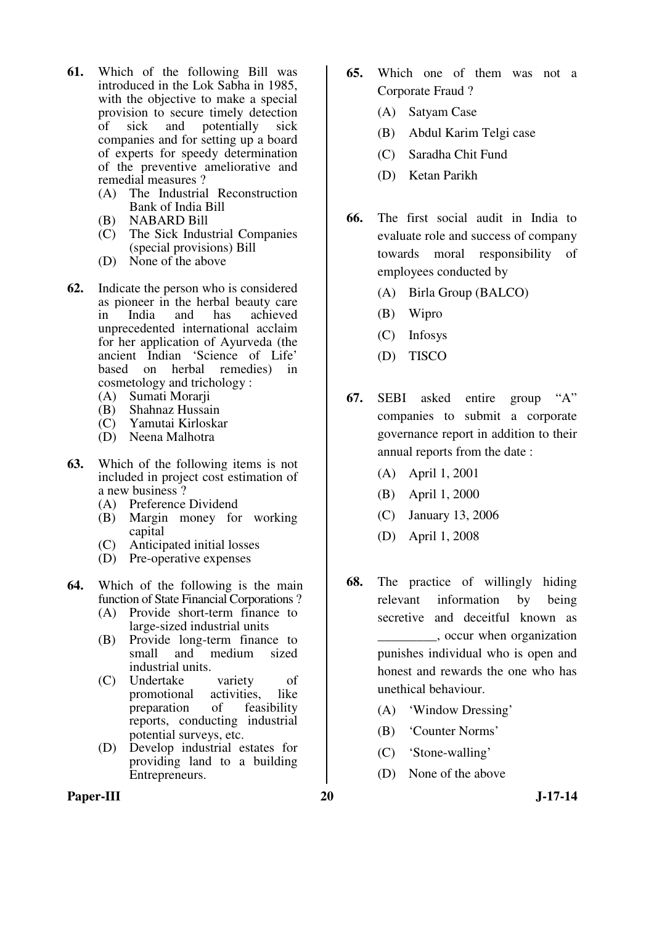- **61.** Which of the following Bill was introduced in the Lok Sabha in 1985, with the objective to make a special provision to secure timely detection<br>of sick and potentially sick of sick and potentially sick companies and for setting up a board of experts for speedy determination of the preventive ameliorative and remedial measures ?
	- (A) The Industrial Reconstruction Bank of India Bill
	- (B) NABARD Bill
	- (C) The Sick Industrial Companies (special provisions) Bill
	- (D) None of the above
- **62.** Indicate the person who is considered as pioneer in the herbal beauty care<br>in India and has achieved in India and has achieved unprecedented international acclaim for her application of Ayurveda (the ancient Indian 'Science of Life' based on herbal remedies) in cosmetology and trichology :
	- (A) Sumati Morarji
	- (B) Shahnaz Hussain
	- (C) Yamutai Kirloskar
	- (D) Neena Malhotra
- **63.** Which of the following items is not included in project cost estimation of a new business<sup>?</sup>
	- (A) Preference Dividend
	- (B) Margin money for working capital
	- (C) Anticipated initial losses
	- (D) Pre-operative expenses
- **64.** Which of the following is the main function of State Financial Corporations ?
	- (A) Provide short-term finance to large-sized industrial units
	- (B) Provide long-term finance to small and medium sized industrial units.
	- (C) Undertake variety of<br>promotional activities, like promotional activities, like<br>preparation of feasibility preparation of reports, conducting industrial potential surveys, etc.
	- (D) Develop industrial estates for providing land to a building Entrepreneurs.
- **65.** Which one of them was not a Corporate Fraud ?
	- (A) Satyam Case
	- (B) Abdul Karim Telgi case
	- (C) Saradha Chit Fund
	- (D) Ketan Parikh
- **66.** The first social audit in India to evaluate role and success of company towards moral responsibility of employees conducted by
	- (A) Birla Group (BALCO)
	- (B) Wipro
	- (C) Infosys
	- (D) TISCO
- **67.** SEBI asked entire group "A" companies to submit a corporate governance report in addition to their annual reports from the date :
	- (A) April 1, 2001
	- (B) April 1, 2000
	- (C) January 13, 2006
	- (D) April 1, 2008
- **68.** The practice of willingly hiding relevant information by being secretive and deceitful known as \_\_\_\_\_\_\_\_\_, occur when organization punishes individual who is open and honest and rewards the one who has unethical behaviour.
	- (A) 'Window Dressing'
	- (B) 'Counter Norms'
	- (C) 'Stone-walling'
	- (D) None of the above
- Paper-III 20 J-17-14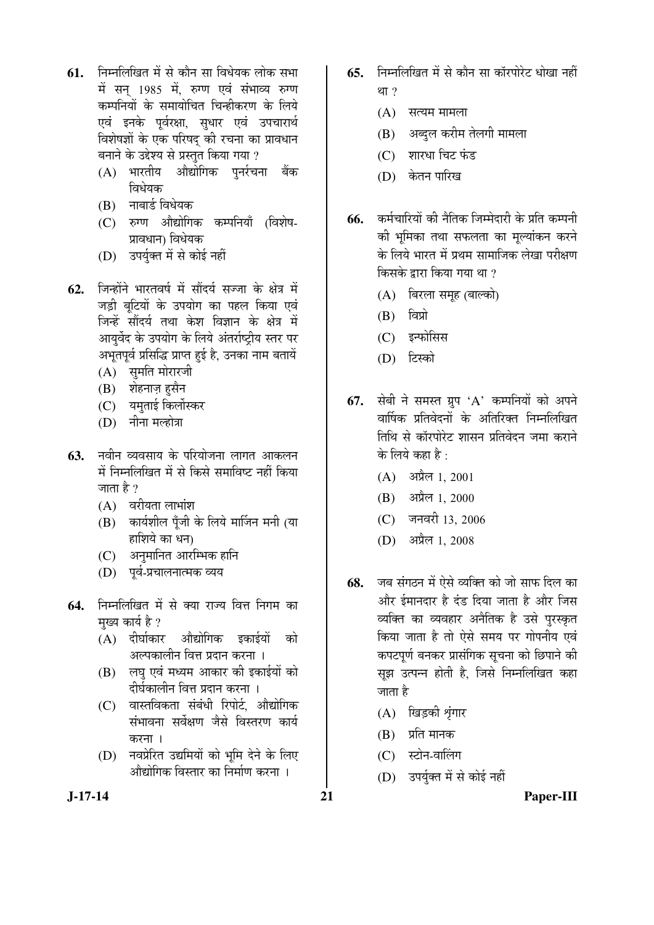- **61.** निम्नलिखित में से कौन सा विधेयक लोक सभा में सन 1985 में. रुग्ण एवं संभाव्य रुग्ण कम्पनियों के समायोचित चिन्हीकरण के लिये एवं इनके पूर्वरक्षा, सुधार एवं उपचारार्थ विशेषज्ञों के एक परिषद की रचना का प्रावधान बनाने के उद्देश्य से प्रस्तुत किया गया ?
	- $(A)$  भारतीय औद्योगिक पुर्नर्रचना बैंक ि घेयक
	- (B) नाबार्ड विधेयक
	- (C) रुग्ण औद्योगिक कम्पनियाँ (विशेष-प्रावधान) विधेयक
	- (D) उपर्युक्त में से कोई नहीं
- **62.** जिन्होंने भारतवर्ष में सौंदर्य सज्जा के क्षेत्र में जड़ी बूटियों के उपयोग का पहल किया एवं जिन्हें सौंदर्य तथा केश विज्ञान के क्षेत्र में आयुर्वेद के उपयोग के लिये अंतर्राष्ट्रीय स्तर पर अभूतपूर्व प्रसिद्धि प्राप्त हुई है, उनका नाम बतायें
	- (A) सुमति मोरारजी
	- (B) शेहनाज़ हुसैन
	- (C) यमताई किलोंस्कर
	- $(D)$  नीना मल्होत्रा
- **63.** नवीन व्यवसाय के परियोजना लागत आकलन में निम्नलिखित में से किसे समाविष्ट नहीं किया जाता है  $\overline{?}$ 
	- $(A)$  वरीयता लाभांश
	- $(B)$  कार्यशील पूँजी के लिये मार्जिन मनी (या हाशिये का धन)
	- (C) अनुमानित आरम्भिक हानि
	- (D) पर्व-प्रचालनात्मक व्यय
- **64.** निम्नलिखित में से क्या राज्य वित्त निगम का मुख्य कार्य है ?
	- $(A)$  दीर्घाकार औद्योगिक इकाईयों को अल्पकालीन वित्त प्रदान करना ।
	- (B) लघु एवं मध्यम आकार की इकाईयों को दीर्घकालीन वित्त प्रदान करना ।
	- (C) वास्तविकता संबंधी रिपोर्ट. औद्योगिक संभावना सर्वेक्षण जैसे विस्तरण कार्य करना ।
	- (D) नवप्रेरित उद्यमियों को भूमि देने के लिए औद्योगिक विस्तार का निर्माण करना ।
- 65. निम्नलिखित में से कौन सा कॉरपोरेट धोखा नहीं था $?$ 
	- $(A)$  सत्यम मामला
	- (B) । अब्दुल करीम तेलगी मामला
	- (C) शारधा चिट फंड
	- (D) केतन पारिख
- **66.** कर्मचारियों की नैतिक जिम्मेदारी के प्रति कम्पनी की भुमिका तथा सफलता का मुल्यांकन करने के लिये भारत में प्रथम सामाजिक लेखा परीक्षण किसके द्रारा किया गया था ?
	- (A) बिरला समृह (बाल्को)
	- $(B)$  विप्रो
	- (C) इन्फोसिस
	- (D) टिस्को
- **67.** सेबी ने समस्त ग्रुप 'A' कम्पनियों को अपने वार्षिक प्रतिवेदनों के अतिरिक्त निम्नलिखित तिथि से कॉरपोरेट शासन प्रतिवेदन जमा कराने के लिये कहा है :
	- $(A)$  अप्रैल 1, 2001
	- $(B)$  अप्रैल 1, 2000
	- (C) जनवरी 13, 2006
	- (D) अप्रैल 1, 2008
- **68.** जब संगठन में ऐसे व्यक्ति को जो साफ दिल का और ईमानदार है दंड दिया जाता है और जिस व्यक्ति का व्यवहार अनैतिक है उसे परस्कृत किया जाता है तो ऐसे समय पर गोपनीय एवं कपटपर्ण बनकर प्रासंगिक सचना को छिपाने की सूझ उत्पन्न होती है, जिसे निम्नलिखित कहा जाता है
	- (A) खिड़की श्रृंगार
	- $(B)$  प्रति मानक
	- $(C)$  स्टोन-वालिंग
	- (D) उपर्युक्त में से कोई नहीं

**J-17-14 21 Paper-III**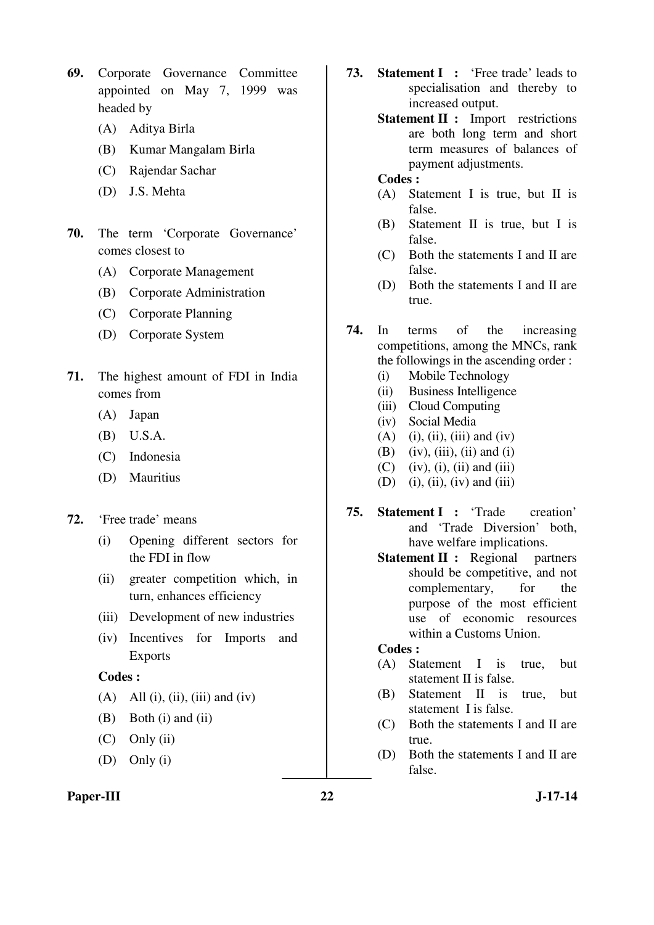- **69.** Corporate Governance Committee appointed on May 7, 1999 was headed by
	- (A) Aditya Birla
	- (B) Kumar Mangalam Birla
	- (C) Rajendar Sachar
	- (D) J.S. Mehta
- **70.** The term 'Corporate Governance' comes closest to
	- (A) Corporate Management
	- (B) Corporate Administration
	- (C) Corporate Planning
	- (D) Corporate System
- **71.** The highest amount of FDI in India comes from
	- (A) Japan
	- (B) U.S.A.
	- (C) Indonesia
	- (D) Mauritius
- **72.** 'Free trade' means
	- (i) Opening different sectors for the FDI in flow
	- (ii) greater competition which, in turn, enhances efficiency
	- (iii) Development of new industries
	- (iv) Incentives for Imports and Exports

#### **Codes :**

- (A) All (i), (ii), (iii) and (iv)
- (B) Both (i) and (ii)
- $(C)$  Only (ii)
- (D) Only (i)

#### Paper-III 22 J-17-14

- **73. Statement I :** 'Free trade' leads to specialisation and thereby to increased output.
	- **Statement II :** Import restrictions are both long term and short term measures of balances of payment adjustments.

#### **Codes :**

- (A) Statement I is true, but II is false.
- (B) Statement II is true, but I is false.
- (C) Both the statements I and II are false.
- (D) Both the statements I and II are true.
- **74.** In terms of the increasing competitions, among the MNCs, rank the followings in the ascending order :
	- (i) Mobile Technology
	- (ii) Business Intelligence
	- (iii) Cloud Computing
	- (iv) Social Media
	- $(A)$  (i), (ii), (iii) and (iv)
	- $(B)$  (iv), (iii), (ii) and (i)
	- $(C)$  (iv), (i), (ii) and (iii)
	- (D) (i), (ii), (iv) and (iii)
- **75. Statement I :** 'Trade creation' and 'Trade Diversion' both, have welfare implications.
	- **Statement II :** Regional partners should be competitive, and not complementary, for the purpose of the most efficient use of economic resources within a Customs Union.

#### **Codes :**

- (A) Statement I is true, but statement II is false.
- (B) Statement II is true, but statement I is false.
- (C) Both the statements I and II are true.
- (D) Both the statements I and II are false.
-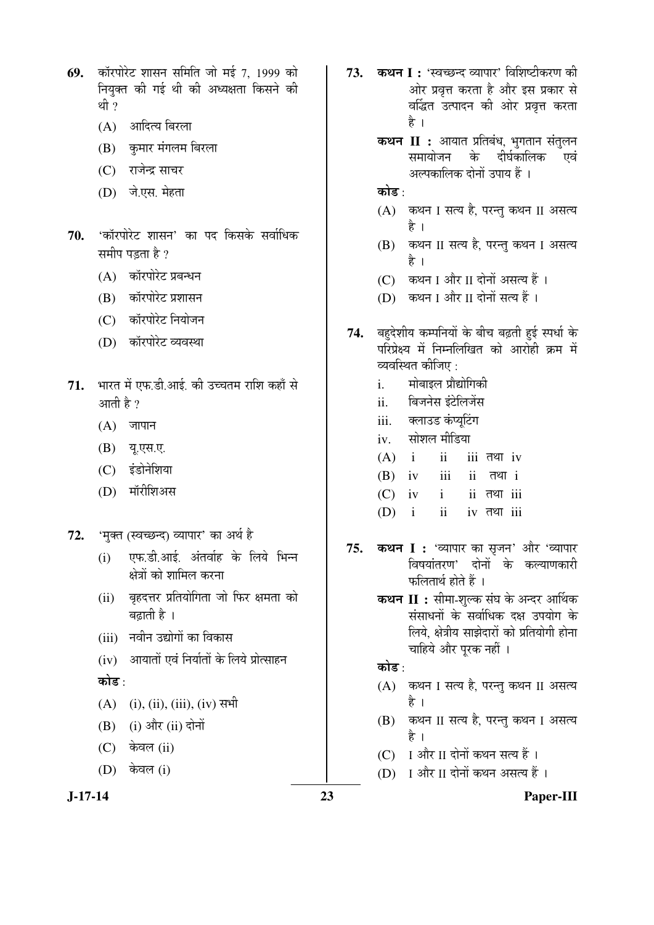- 69. कॉरपोरेट शासन समिति जो मई 7, 1999 को नियुक्त की गई थी की अध्यक्षता किसने की थी ?
	- (A) आदित्य बिरला
	- (B) कुमार मंगलम बिरला
	- (C) राजेन्द्र साचर
	- (D) जे.एस. मेहता
- 70. 'कॉरपोरेट शासन' का पद किसके सर्वाधिक समीप पड़ता है ?
	- (A) कॉरपोरेट प्रबन्धन
	- (B) कॉरपोरेट प्रशासन
	- (C) कॉरपोरेट नियोजन
	- (D) कॉरपोरेट व्यवस्था
- 71. भारत में एफ.डी.आई. की उच्चतम राशि कहाँ से आती है $\gamma$ 
	- $(A)$  जापान
	- (B) यू.एस.ए.
	- (C) इंडोनेशिया
	- (D) मॉरीशिअस
- 72. 'मुक्त (स्वच्छन्द) व्यापार' का अर्थ है
	- $(i)$  एफ.डी.आई. अंतर्वाह के लिये भिन्न क्षेत्रों को शामिल करना
	- (ii) बृहदत्तर प्रतियोगिता जो फिर क्षमता को बढाती है $\overline{6}$ ।
	- (iii) नवीन उद्योगों का विकास
	- $(iv)$  आयातों एवं निर्यातों के लिये प्रोत्साहन
	- कोड $\cdot$
	- $(A)$  (i), (ii), (iii), (iv) सभी
	- $(B)$  (i) और (ii) दोनों
	- $(C)$  केवल (ii)
	- $(D)$  केवल (i)

- 73. कथन I : 'स्वच्छन्द व्यापार' विशिष्टीकरण की ओर प्रवृत्त करता है और इस प्रकार से वर्द्धित उत्पादन की ओर प्रवृत्त करता है ।
	- **कथन II :** आयात प्रतिबंध, भुगतान संतुलन समायोजन के दीर्घकालिक एवं अल्पकालिक दोनों उपाय हैं ।
	- कोड :
	- (A) कथन I सत्य है, परन्तु कथन II असत्य है ।
	- (B) कथन II सत्य है, परन्तु कथन I असत्य Æîü …
	- (C) कथन I और II दोनों असत्य हैं ।
	- (D) कथन I और II दोनों सत्य हैं ।
- 74. बहुदेशीय कम्पनियों के बीच बढ़ती हुई स्पर्धा के परिप्रेक्ष्य में निम्नलिखित को आरोही क्रम में व्यवस्थित कीजिए :
	- i. मोबाइल प्रौद्योगिकी
	- ii. बिजनेस इंटेलिजेंस
	- iii. क्लाउड कंप्यूटिंग
	- iv. सोशल मीडिया
	- $(A)$  i ii iii  $\overline{a}$ en iv
	- $(B)$  iv iii ii  $\overline{d}$
	- $(C)$  iv i ii  $\overline{d}$  iii
	- $(D)$  i ii iv  $\overline{d}$  iii
- 75. **कथन I :** 'व्यापार का सृजन' और 'व्यापार विषयांतरण' दोनों के कल्याणकारी फलितार्थ होते हैं ।
	- **कथन II :** सीमा-शुल्क संघ के अन्दर आर्थिक संसाधनों के सर्वाधिक दक्ष उपयोग के लिये, क्षेत्रीय साझेदारों को प्रतियोगी होना चाहिये और पूरक नहीं ।

# कोड :

- (A) कथन I सत्य है, परन्तु कथन II असत्य है ।
- (B) कथन II सत्य है, परन्तु कथन I असत्य है ।
- (C) I और II दोनों कथन सत्य हैं ।
- (D) I और II दोनों कथन असत्य हैं ।
- 

#### **J-17-14 23 Paper-III**